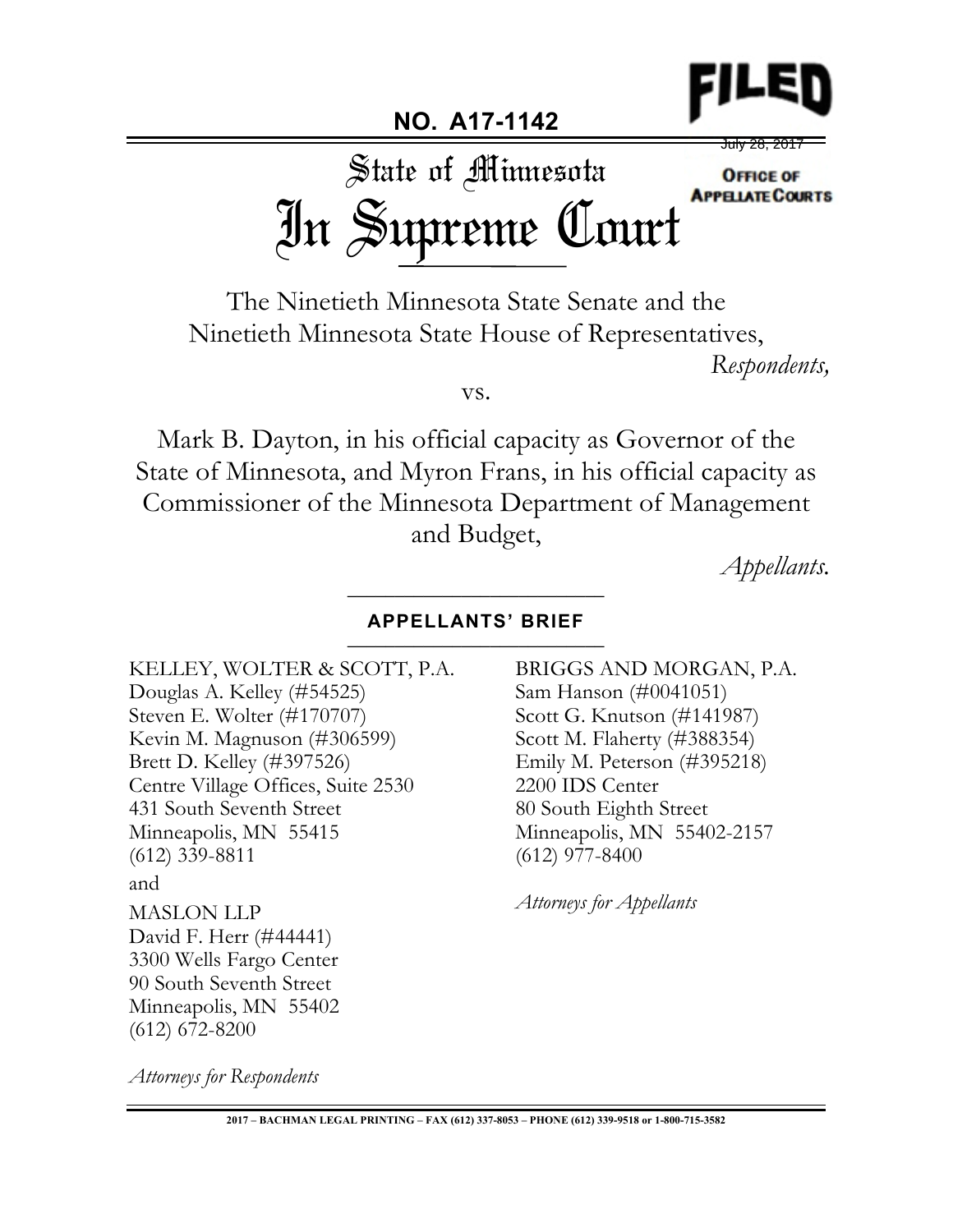

**NO. A17-1142**

<del>July 28, 201</del>

State of Minnesota **OFFICE OF APPELIATE COURTS** In Supreme Court

The Ninetieth Minnesota State Senate and the Ninetieth Minnesota State House of Representatives,

*Respondents,*

vs.

Mark B. Dayton, in his official capacity as Governor of the State of Minnesota, and Myron Frans, in his official capacity as Commissioner of the Minnesota Department of Management and Budget,

*Appellants.* \_\_\_\_\_\_\_\_\_\_\_\_\_\_\_\_\_\_\_\_\_\_\_\_\_\_\_

## **APPELLANTS' BRIEF** \_\_\_\_\_\_\_\_\_\_\_\_\_\_\_\_\_\_\_\_\_\_\_\_\_\_\_

KELLEY, WOLTER & SCOTT, P.A. Douglas A. Kelley (#54525) Steven E. Wolter (#170707) Kevin M. Magnuson (#306599) Brett D. Kelley (#397526) Centre Village Offices, Suite 2530 431 South Seventh Street Minneapolis, MN 55415 (612) 339-8811 and MASLON LLP David F. Herr (#44441) 3300 Wells Fargo Center 90 South Seventh Street Minneapolis, MN 55402 (612) 672-8200

BRIGGS AND MORGAN, P.A. Sam Hanson (#0041051) Scott G. Knutson (#141987) Scott M. Flaherty (#388354) Emily M. Peterson (#395218) 2200 IDS Center 80 South Eighth Street Minneapolis, MN 55402-2157 (612) 977-8400

*Attorneys for Appellants*

*Attorneys for Respondents*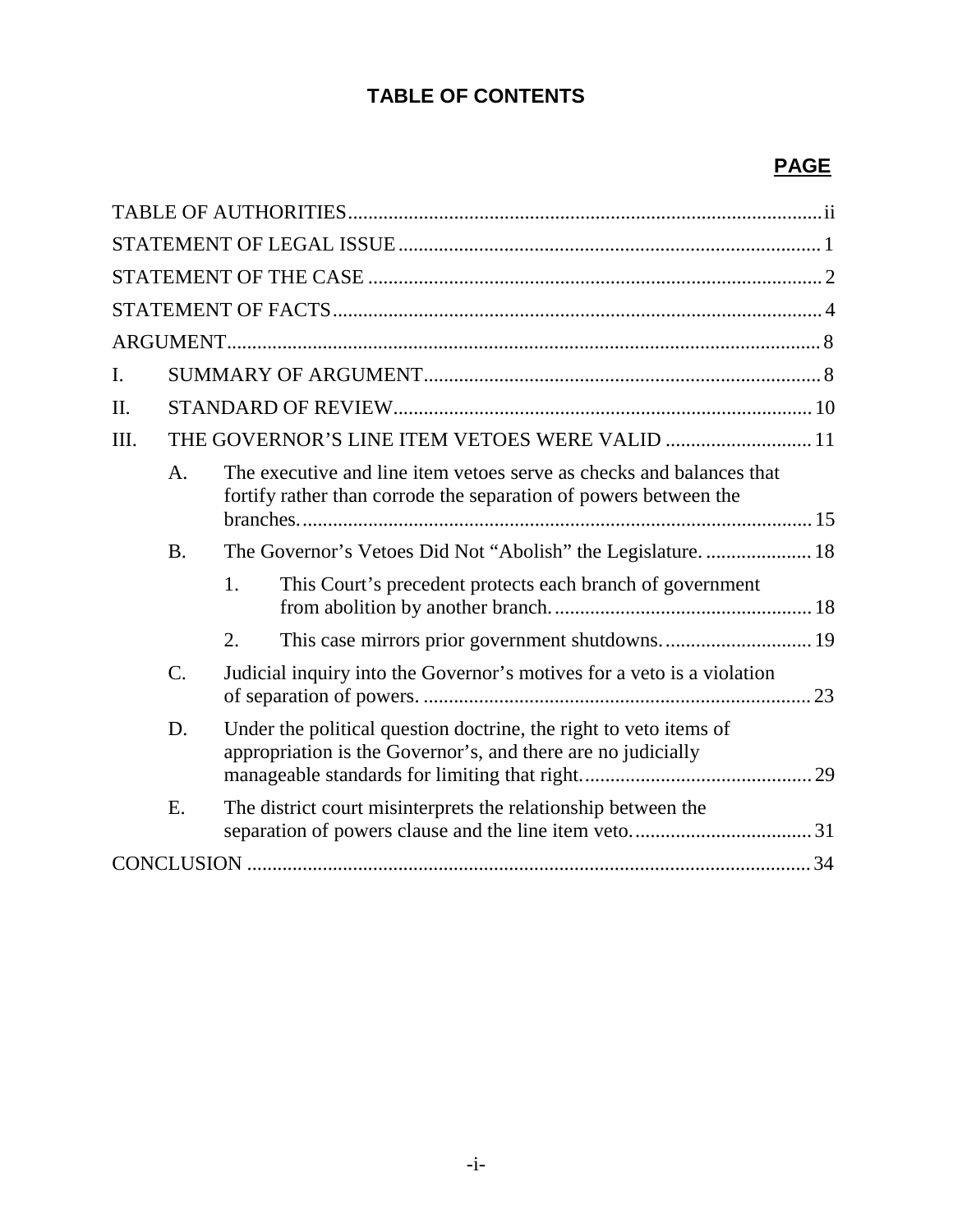# **TABLE OF CONTENTS**

# **PAGE**

| I.   |                                                |                                                                                                                                          |                                                                                                                                   |  |  |  |  |
|------|------------------------------------------------|------------------------------------------------------------------------------------------------------------------------------------------|-----------------------------------------------------------------------------------------------------------------------------------|--|--|--|--|
| Π.   |                                                |                                                                                                                                          |                                                                                                                                   |  |  |  |  |
| III. | THE GOVERNOR'S LINE ITEM VETOES WERE VALID  11 |                                                                                                                                          |                                                                                                                                   |  |  |  |  |
|      | A.                                             | The executive and line item vetoes serve as checks and balances that<br>fortify rather than corrode the separation of powers between the |                                                                                                                                   |  |  |  |  |
|      | <b>B.</b>                                      |                                                                                                                                          | The Governor's Vetoes Did Not "Abolish" the Legislature.  18                                                                      |  |  |  |  |
|      |                                                | 1.                                                                                                                                       | This Court's precedent protects each branch of government                                                                         |  |  |  |  |
|      |                                                | 2.                                                                                                                                       | This case mirrors prior government shutdowns 19                                                                                   |  |  |  |  |
|      | $\overline{C}$ .                               |                                                                                                                                          | Judicial inquiry into the Governor's motives for a veto is a violation                                                            |  |  |  |  |
|      | D.                                             |                                                                                                                                          | Under the political question doctrine, the right to veto items of<br>appropriation is the Governor's, and there are no judicially |  |  |  |  |
|      | E.                                             |                                                                                                                                          | The district court misinterprets the relationship between the                                                                     |  |  |  |  |
|      |                                                |                                                                                                                                          |                                                                                                                                   |  |  |  |  |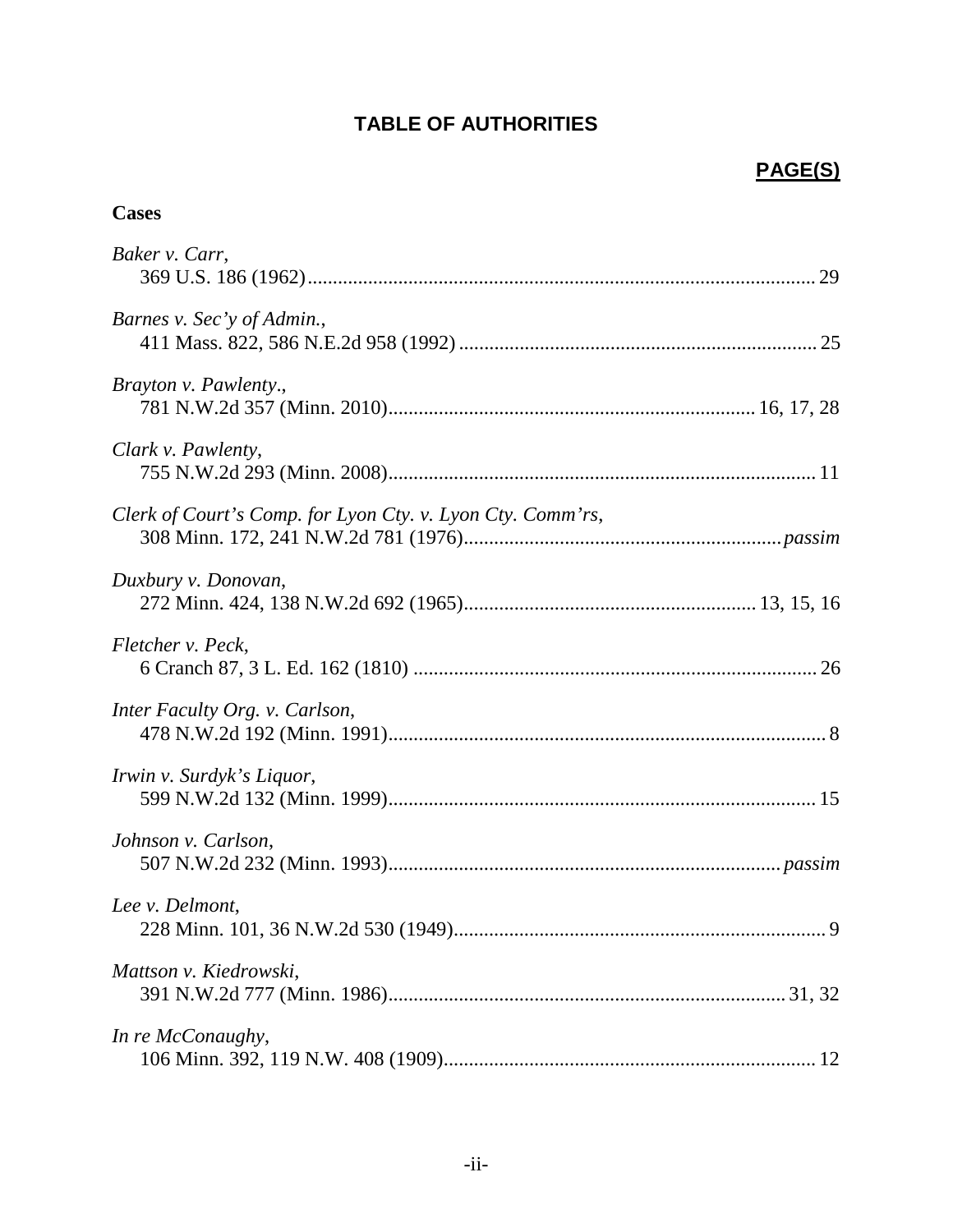## **TABLE OF AUTHORITIES**

## **PAGE(S)**

## **Cases**

| Baker v. Carr,                                              |
|-------------------------------------------------------------|
| Barnes v. Sec'y of Admin.,                                  |
| Brayton v. Pawlenty.,                                       |
| Clark v. Pawlenty,                                          |
| Clerk of Court's Comp. for Lyon Cty. v. Lyon Cty. Comm'rs,  |
| Duxbury v. Donovan,                                         |
| Fletcher v. Peck,                                           |
| Inter Faculty Org. v. Carlson,                              |
| Irwin v. Surdyk's Liquor,                                   |
| Johnson v. Carlson,                                         |
| Lee v. Delmont,<br>228 Minn. 101, 36 N.W.2d 530 (1949)<br>9 |
| Mattson v. Kiedrowski,                                      |
| In re McConaughy,                                           |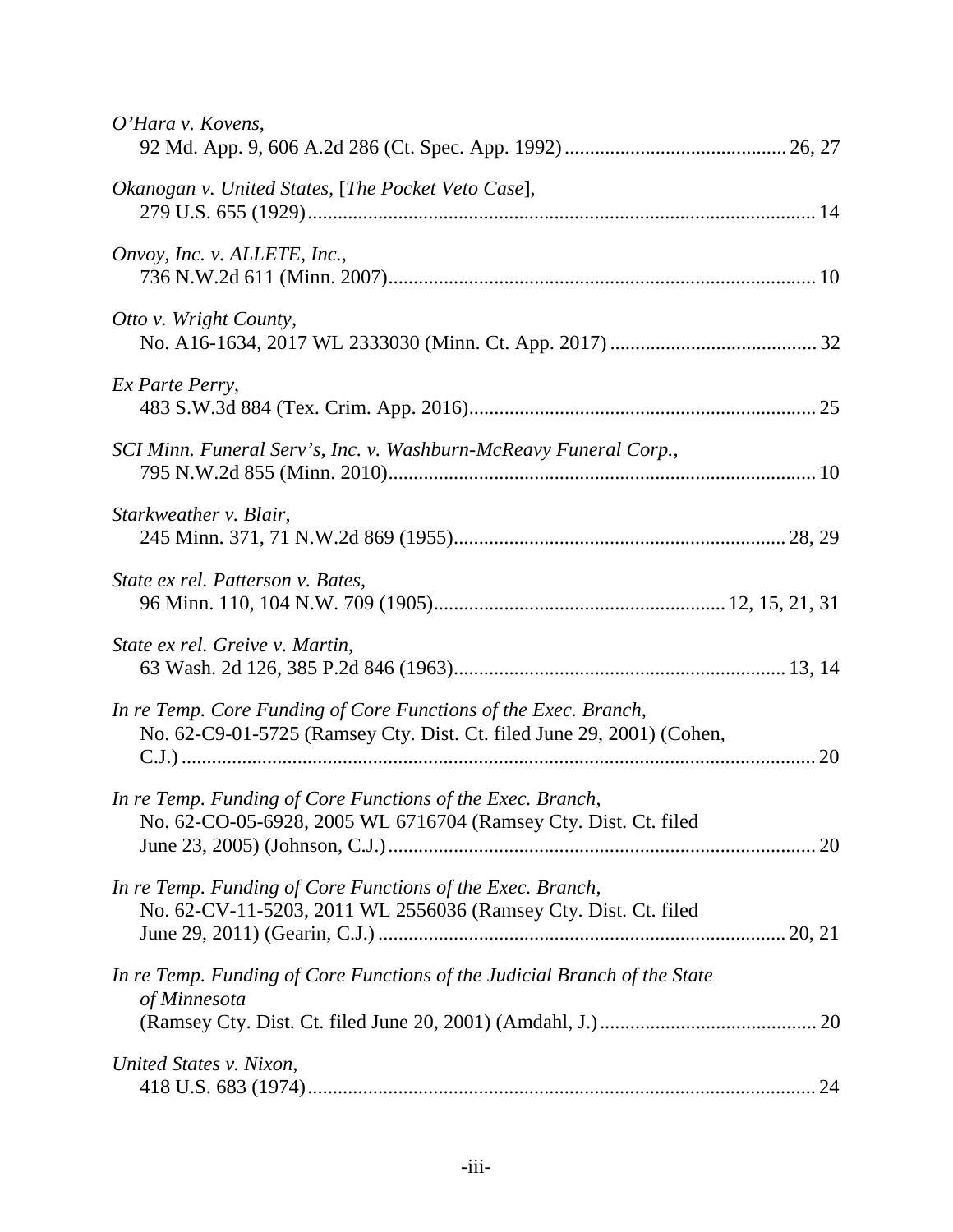| O'Hara v. Kovens,                                                                                                                        |    |
|------------------------------------------------------------------------------------------------------------------------------------------|----|
| Okanogan v. United States, [The Pocket Veto Case],                                                                                       |    |
| Onvoy, Inc. v. ALLETE, Inc.,                                                                                                             |    |
| Otto v. Wright County,                                                                                                                   |    |
| Ex Parte Perry,                                                                                                                          |    |
| SCI Minn. Funeral Serv's, Inc. v. Washburn-McReavy Funeral Corp.,                                                                        |    |
| Starkweather v. Blair,                                                                                                                   |    |
| State ex rel. Patterson v. Bates,                                                                                                        |    |
| State ex rel. Greive v. Martin,                                                                                                          |    |
| In re Temp. Core Funding of Core Functions of the Exec. Branch,<br>No. 62-C9-01-5725 (Ramsey Cty. Dist. Ct. filed June 29, 2001) (Cohen, | 20 |
| In re Temp. Funding of Core Functions of the Exec. Branch,<br>No. 62-CO-05-6928, 2005 WL 6716704 (Ramsey Cty. Dist. Ct. filed            |    |
| In re Temp. Funding of Core Functions of the Exec. Branch,<br>No. 62-CV-11-5203, 2011 WL 2556036 (Ramsey Cty. Dist. Ct. filed            |    |
| In re Temp. Funding of Core Functions of the Judicial Branch of the State<br>of Minnesota                                                |    |
| United States v. Nixon,                                                                                                                  |    |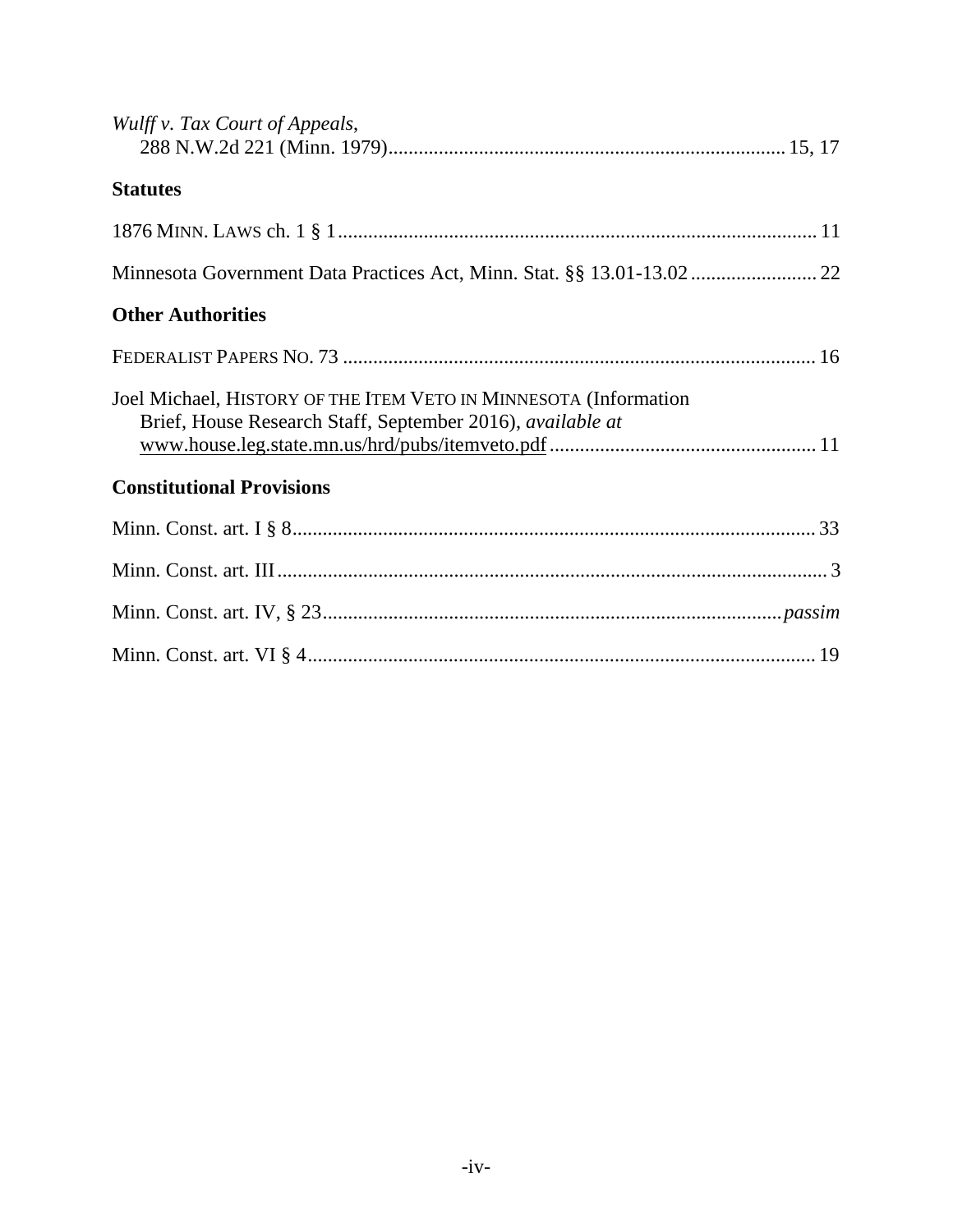| Wulff v. Tax Court of Appeals,                                                                                                 |  |
|--------------------------------------------------------------------------------------------------------------------------------|--|
| <b>Statutes</b>                                                                                                                |  |
|                                                                                                                                |  |
|                                                                                                                                |  |
| <b>Other Authorities</b>                                                                                                       |  |
|                                                                                                                                |  |
| Joel Michael, HISTORY OF THE ITEM VETO IN MINNESOTA (Information<br>Brief, House Research Staff, September 2016), available at |  |
| <b>Constitutional Provisions</b>                                                                                               |  |
|                                                                                                                                |  |
|                                                                                                                                |  |
|                                                                                                                                |  |
|                                                                                                                                |  |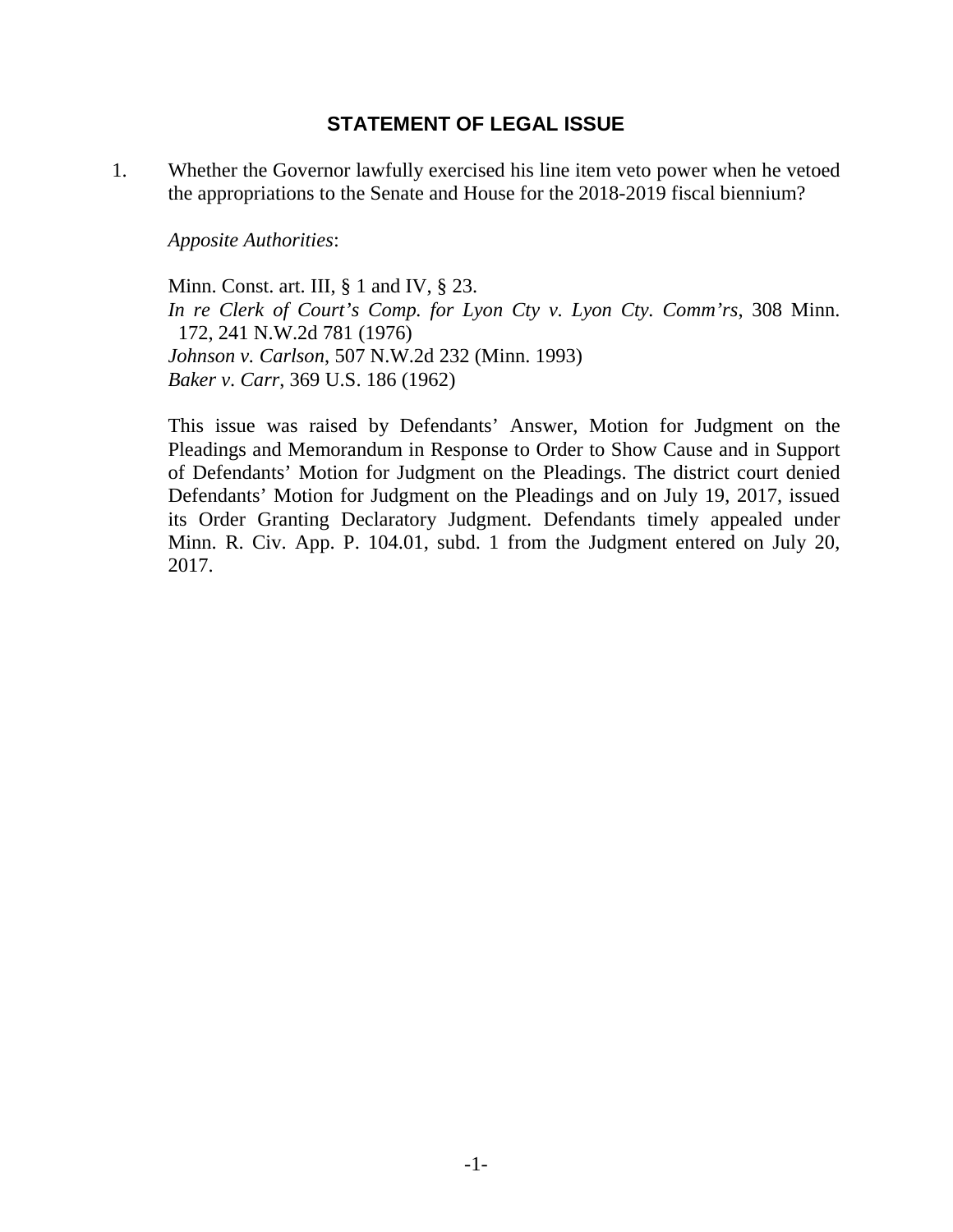## **STATEMENT OF LEGAL ISSUE**

1. Whether the Governor lawfully exercised his line item veto power when he vetoed the appropriations to the Senate and House for the 2018-2019 fiscal biennium?

*Apposite Authorities*:

Minn. Const. art. III, § 1 and IV, § 23. *In re Clerk of Court's Comp. for Lyon Cty v. Lyon Cty. Comm'rs*, 308 Minn. 172, 241 N.W.2d 781 (1976) *Johnson v. Carlson*, 507 N.W.2d 232 (Minn. 1993) *Baker v*. *Carr*, 369 U.S. 186 (1962)

This issue was raised by Defendants' Answer, Motion for Judgment on the Pleadings and Memorandum in Response to Order to Show Cause and in Support of Defendants' Motion for Judgment on the Pleadings. The district court denied Defendants' Motion for Judgment on the Pleadings and on July 19, 2017, issued its Order Granting Declaratory Judgment. Defendants timely appealed under Minn. R. Civ. App. P. 104.01, subd. 1 from the Judgment entered on July 20, 2017.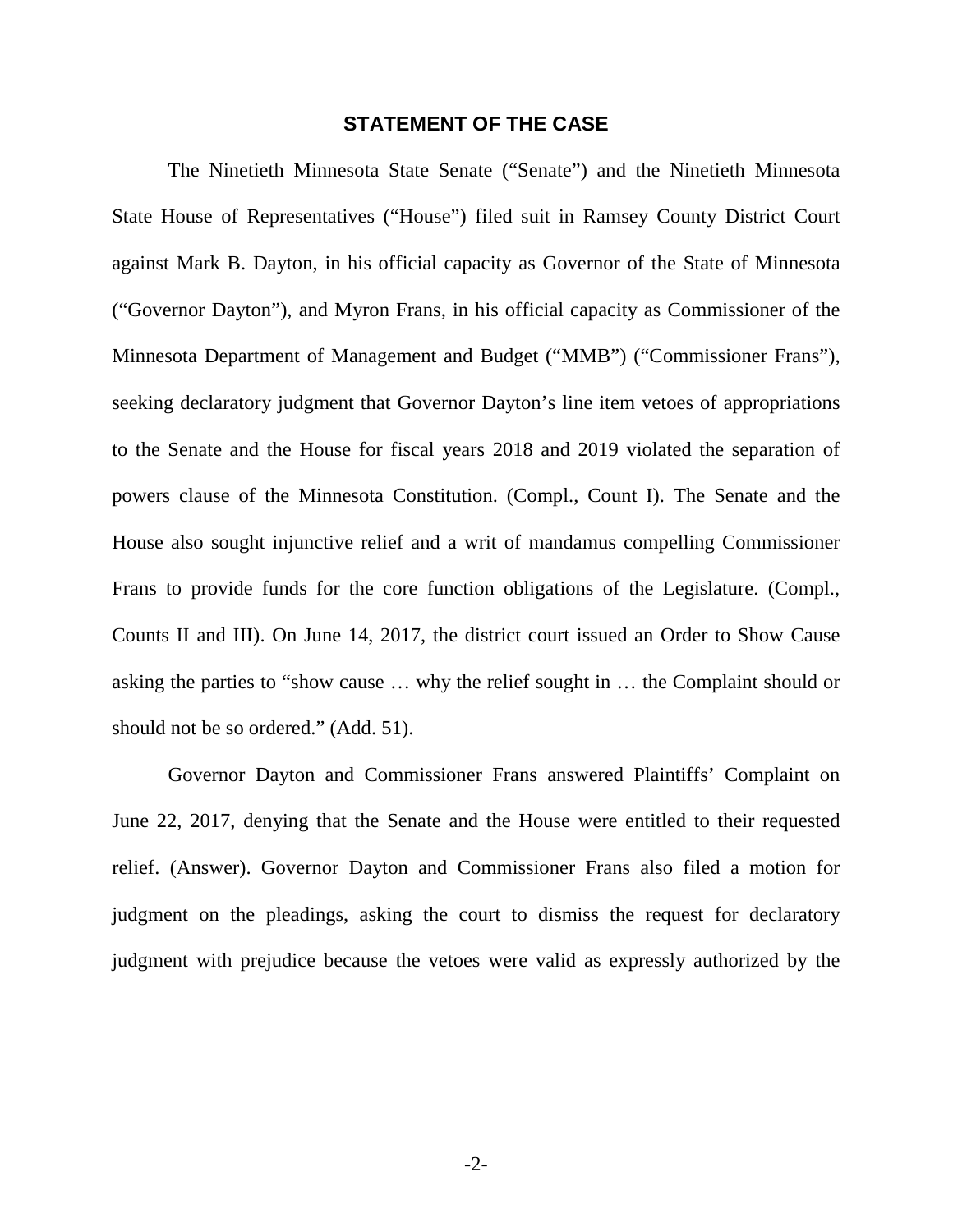#### **STATEMENT OF THE CASE**

The Ninetieth Minnesota State Senate ("Senate") and the Ninetieth Minnesota State House of Representatives ("House") filed suit in Ramsey County District Court against Mark B. Dayton, in his official capacity as Governor of the State of Minnesota ("Governor Dayton"), and Myron Frans, in his official capacity as Commissioner of the Minnesota Department of Management and Budget ("MMB") ("Commissioner Frans"), seeking declaratory judgment that Governor Dayton's line item vetoes of appropriations to the Senate and the House for fiscal years 2018 and 2019 violated the separation of powers clause of the Minnesota Constitution. (Compl., Count I). The Senate and the House also sought injunctive relief and a writ of mandamus compelling Commissioner Frans to provide funds for the core function obligations of the Legislature. (Compl., Counts II and III). On June 14, 2017, the district court issued an Order to Show Cause asking the parties to "show cause … why the relief sought in … the Complaint should or should not be so ordered." (Add. 51).

Governor Dayton and Commissioner Frans answered Plaintiffs' Complaint on June 22, 2017, denying that the Senate and the House were entitled to their requested relief. (Answer). Governor Dayton and Commissioner Frans also filed a motion for judgment on the pleadings, asking the court to dismiss the request for declaratory judgment with prejudice because the vetoes were valid as expressly authorized by the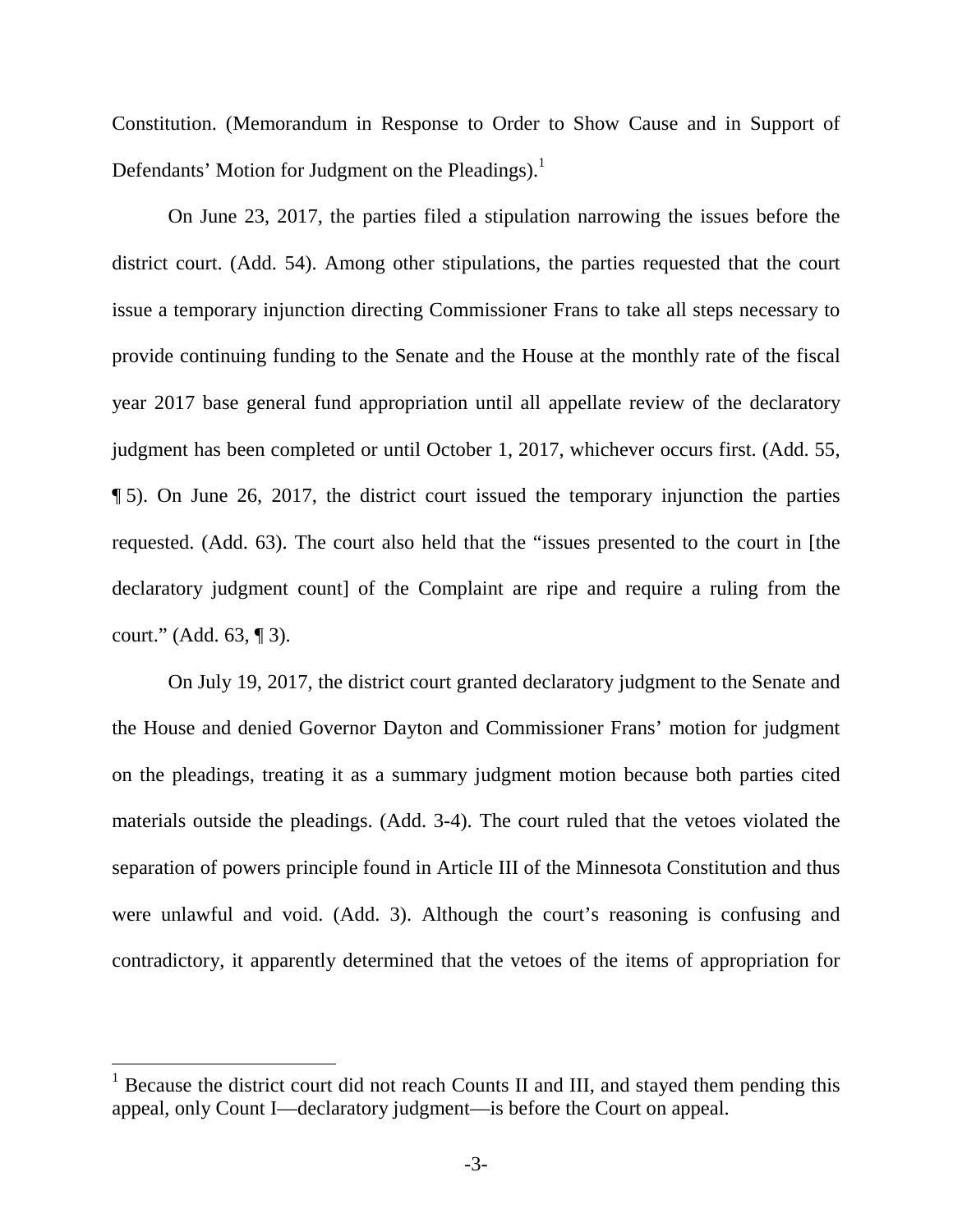Constitution. (Memorandum in Response to Order to Show Cause and in Support of Defendants' Motion for Judgment on the Pleadings).<sup>1</sup>

On June 23, 2017, the parties filed a stipulation narrowing the issues before the district court. (Add. 54). Among other stipulations, the parties requested that the court issue a temporary injunction directing Commissioner Frans to take all steps necessary to provide continuing funding to the Senate and the House at the monthly rate of the fiscal year 2017 base general fund appropriation until all appellate review of the declaratory judgment has been completed or until October 1, 2017, whichever occurs first. (Add. 55, ¶ 5). On June 26, 2017, the district court issued the temporary injunction the parties requested. (Add. 63). The court also held that the "issues presented to the court in [the declaratory judgment count] of the Complaint are ripe and require a ruling from the court." (Add. 63, ¶ 3).

On July 19, 2017, the district court granted declaratory judgment to the Senate and the House and denied Governor Dayton and Commissioner Frans' motion for judgment on the pleadings, treating it as a summary judgment motion because both parties cited materials outside the pleadings. (Add. 3-4). The court ruled that the vetoes violated the separation of powers principle found in Article III of the Minnesota Constitution and thus were unlawful and void. (Add. 3). Although the court's reasoning is confusing and contradictory, it apparently determined that the vetoes of the items of appropriation for

<sup>&</sup>lt;sup>1</sup> Because the district court did not reach Counts II and III, and stayed them pending this appeal, only Count I—declaratory judgment—is before the Court on appeal.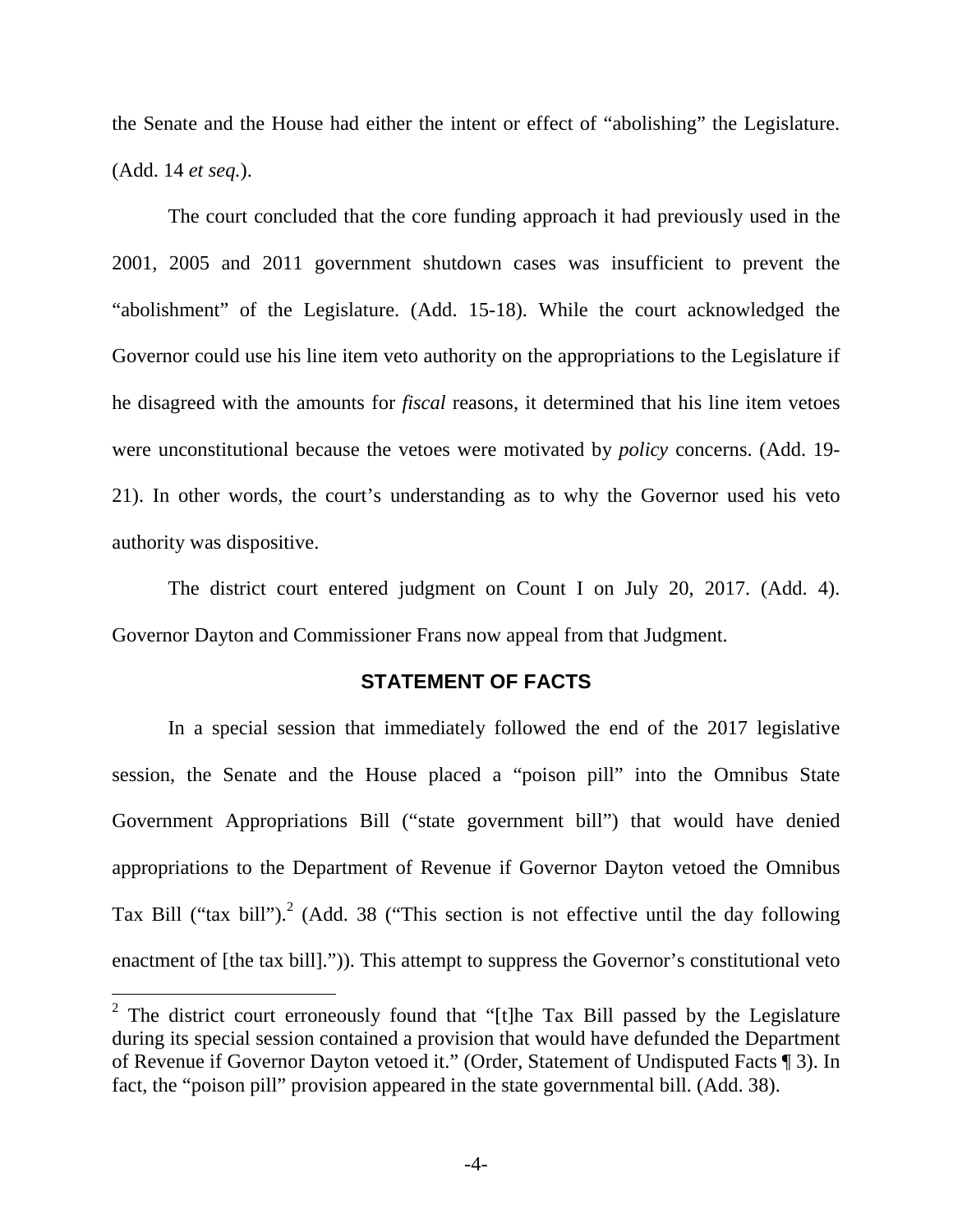the Senate and the House had either the intent or effect of "abolishing" the Legislature. (Add. 14 *et seq.*).

The court concluded that the core funding approach it had previously used in the 2001, 2005 and 2011 government shutdown cases was insufficient to prevent the "abolishment" of the Legislature. (Add. 15-18). While the court acknowledged the Governor could use his line item veto authority on the appropriations to the Legislature if he disagreed with the amounts for *fiscal* reasons, it determined that his line item vetoes were unconstitutional because the vetoes were motivated by *policy* concerns. (Add. 19- 21). In other words, the court's understanding as to why the Governor used his veto authority was dispositive.

The district court entered judgment on Count I on July 20, 2017. (Add. 4). Governor Dayton and Commissioner Frans now appeal from that Judgment.

#### **STATEMENT OF FACTS**

In a special session that immediately followed the end of the 2017 legislative session, the Senate and the House placed a "poison pill" into the Omnibus State Government Appropriations Bill ("state government bill") that would have denied appropriations to the Department of Revenue if Governor Dayton vetoed the Omnibus Tax Bill ("tax bill").<sup>2</sup> (Add. 38 ("This section is not effective until the day following enactment of [the tax bill].")). This attempt to suppress the Governor's constitutional veto

<sup>&</sup>lt;sup>2</sup> The district court erroneously found that "[t]he Tax Bill passed by the Legislature during its special session contained a provision that would have defunded the Department of Revenue if Governor Dayton vetoed it." (Order, Statement of Undisputed Facts ¶ 3). In fact, the "poison pill" provision appeared in the state governmental bill. (Add. 38).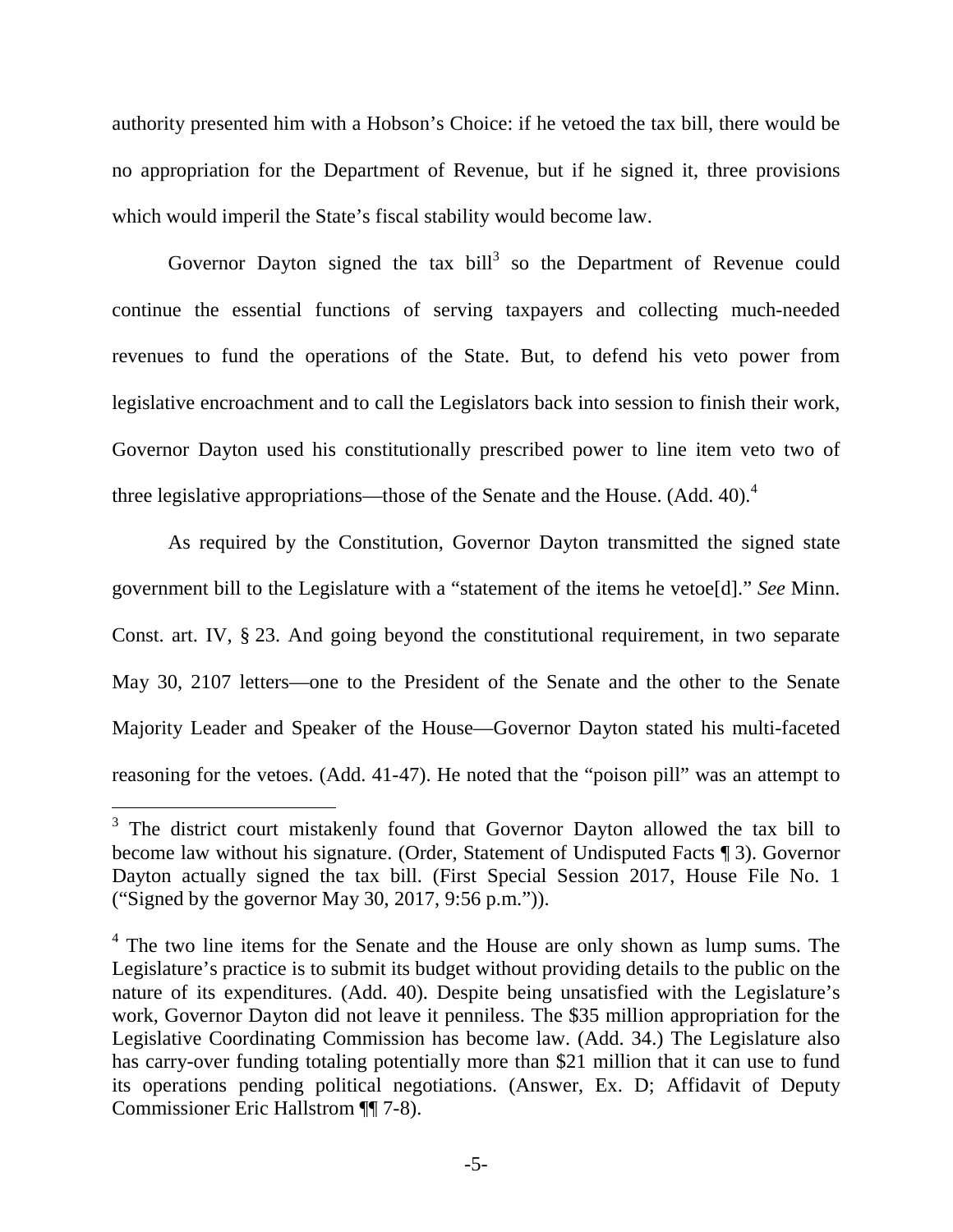authority presented him with a Hobson's Choice: if he vetoed the tax bill, there would be no appropriation for the Department of Revenue, but if he signed it, three provisions which would imperil the State's fiscal stability would become law.

Governor Dayton signed the tax bill<sup>3</sup> so the Department of Revenue could continue the essential functions of serving taxpayers and collecting much-needed revenues to fund the operations of the State. But, to defend his veto power from legislative encroachment and to call the Legislators back into session to finish their work, Governor Dayton used his constitutionally prescribed power to line item veto two of three legislative appropriations—those of the Senate and the House. (Add. 40).<sup>4</sup>

As required by the Constitution, Governor Dayton transmitted the signed state government bill to the Legislature with a "statement of the items he vetoe[d]." *See* Minn. Const. art. IV, § 23. And going beyond the constitutional requirement, in two separate May 30, 2107 letters—one to the President of the Senate and the other to the Senate Majority Leader and Speaker of the House—Governor Dayton stated his multi-faceted reasoning for the vetoes. (Add. 41-47). He noted that the "poison pill" was an attempt to

<sup>&</sup>lt;sup>3</sup> The district court mistakenly found that Governor Dayton allowed the tax bill to become law without his signature. (Order, Statement of Undisputed Facts ¶ 3). Governor Dayton actually signed the tax bill. (First Special Session 2017, House File No. 1 ("Signed by the governor May 30, 2017, 9:56 p.m.")).

<sup>&</sup>lt;sup>4</sup> The two line items for the Senate and the House are only shown as lump sums. The Legislature's practice is to submit its budget without providing details to the public on the nature of its expenditures. (Add. 40). Despite being unsatisfied with the Legislature's work, Governor Dayton did not leave it penniless. The \$35 million appropriation for the Legislative Coordinating Commission has become law. (Add. 34.) The Legislature also has carry-over funding totaling potentially more than \$21 million that it can use to fund its operations pending political negotiations. (Answer, Ex. D; Affidavit of Deputy Commissioner Eric Hallstrom ¶¶ 7-8).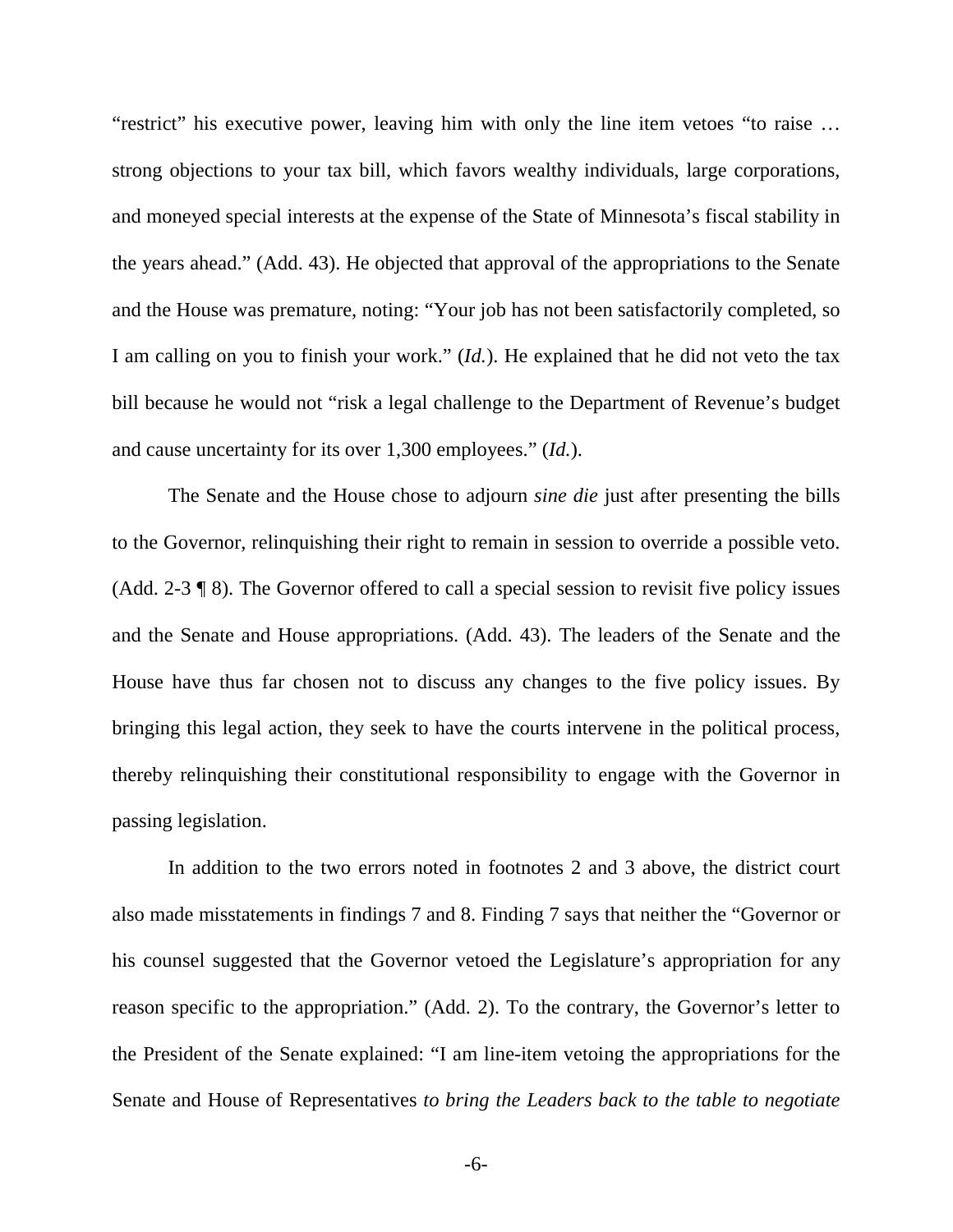"restrict" his executive power, leaving him with only the line item vetoes "to raise … strong objections to your tax bill, which favors wealthy individuals, large corporations, and moneyed special interests at the expense of the State of Minnesota's fiscal stability in the years ahead." (Add. 43). He objected that approval of the appropriations to the Senate and the House was premature, noting: "Your job has not been satisfactorily completed, so I am calling on you to finish your work." (*Id.*). He explained that he did not veto the tax bill because he would not "risk a legal challenge to the Department of Revenue's budget and cause uncertainty for its over 1,300 employees." (*Id.*).

The Senate and the House chose to adjourn *sine die* just after presenting the bills to the Governor, relinquishing their right to remain in session to override a possible veto. (Add. 2-3 ¶ 8). The Governor offered to call a special session to revisit five policy issues and the Senate and House appropriations. (Add. 43). The leaders of the Senate and the House have thus far chosen not to discuss any changes to the five policy issues. By bringing this legal action, they seek to have the courts intervene in the political process, thereby relinquishing their constitutional responsibility to engage with the Governor in passing legislation.

In addition to the two errors noted in footnotes 2 and 3 above, the district court also made misstatements in findings 7 and 8. Finding 7 says that neither the "Governor or his counsel suggested that the Governor vetoed the Legislature's appropriation for any reason specific to the appropriation." (Add. 2). To the contrary, the Governor's letter to the President of the Senate explained: "I am line-item vetoing the appropriations for the Senate and House of Representatives *to bring the Leaders back to the table to negotiate* 

-6-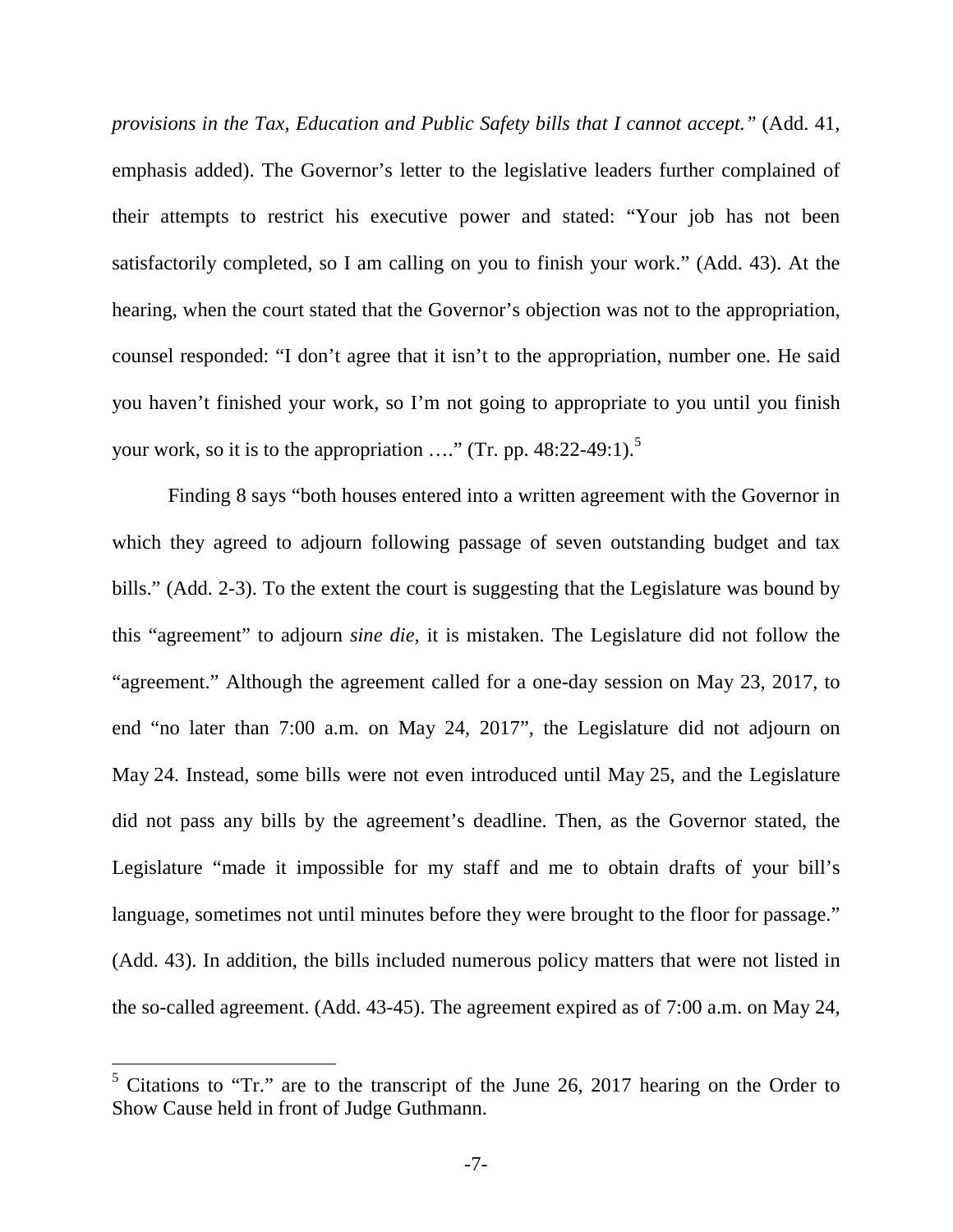*provisions in the Tax, Education and Public Safety bills that I cannot accept."* (Add. 41, emphasis added). The Governor's letter to the legislative leaders further complained of their attempts to restrict his executive power and stated: "Your job has not been satisfactorily completed, so I am calling on you to finish your work." (Add. 43). At the hearing, when the court stated that the Governor's objection was not to the appropriation, counsel responded: "I don't agree that it isn't to the appropriation, number one. He said you haven't finished your work, so I'm not going to appropriate to you until you finish your work, so it is to the appropriation  $\ldots$ " (Tr. pp. 48:22-49:1).<sup>5</sup>

Finding 8 says "both houses entered into a written agreement with the Governor in which they agreed to adjourn following passage of seven outstanding budget and tax bills." (Add. 2-3). To the extent the court is suggesting that the Legislature was bound by this "agreement" to adjourn *sine die,* it is mistaken. The Legislature did not follow the "agreement." Although the agreement called for a one-day session on May 23, 2017, to end "no later than 7:00 a.m. on May 24, 2017", the Legislature did not adjourn on May 24. Instead, some bills were not even introduced until May 25, and the Legislature did not pass any bills by the agreement's deadline. Then, as the Governor stated, the Legislature "made it impossible for my staff and me to obtain drafts of your bill's language, sometimes not until minutes before they were brought to the floor for passage." (Add. 43). In addition, the bills included numerous policy matters that were not listed in the so-called agreement. (Add. 43-45). The agreement expired as of 7:00 a.m. on May 24,

<sup>&</sup>lt;sup>5</sup> Citations to "Tr." are to the transcript of the June 26, 2017 hearing on the Order to Show Cause held in front of Judge Guthmann.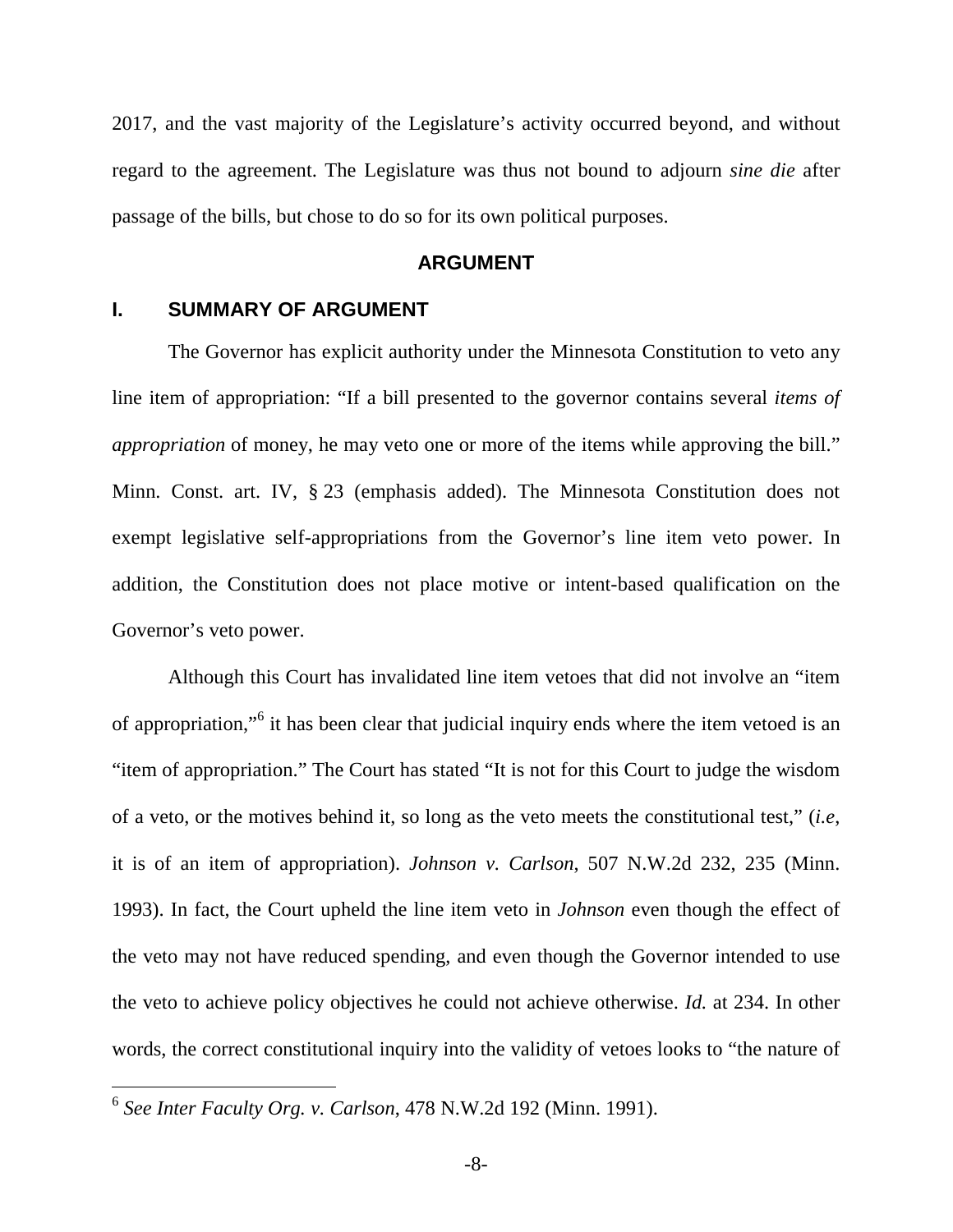2017, and the vast majority of the Legislature's activity occurred beyond, and without regard to the agreement. The Legislature was thus not bound to adjourn *sine die* after passage of the bills, but chose to do so for its own political purposes.

#### **ARGUMENT**

## **I. SUMMARY OF ARGUMENT**

The Governor has explicit authority under the Minnesota Constitution to veto any line item of appropriation: "If a bill presented to the governor contains several *items of appropriation* of money, he may veto one or more of the items while approving the bill." Minn. Const. art. IV, § 23 (emphasis added). The Minnesota Constitution does not exempt legislative self-appropriations from the Governor's line item veto power. In addition, the Constitution does not place motive or intent-based qualification on the Governor's veto power.

Although this Court has invalidated line item vetoes that did not involve an "item of appropriation,"<sup>6</sup> it has been clear that judicial inquiry ends where the item vetoed is an "item of appropriation." The Court has stated "It is not for this Court to judge the wisdom of a veto, or the motives behind it, so long as the veto meets the constitutional test," (*i.e*, it is of an item of appropriation). *Johnson v. Carlson*, 507 N.W.2d 232, 235 (Minn. 1993). In fact, the Court upheld the line item veto in *Johnson* even though the effect of the veto may not have reduced spending, and even though the Governor intended to use the veto to achieve policy objectives he could not achieve otherwise. *Id.* at 234. In other words, the correct constitutional inquiry into the validity of vetoes looks to "the nature of

<sup>6</sup> *See Inter Faculty Org. v. Carlson*, 478 N.W.2d 192 (Minn. 1991).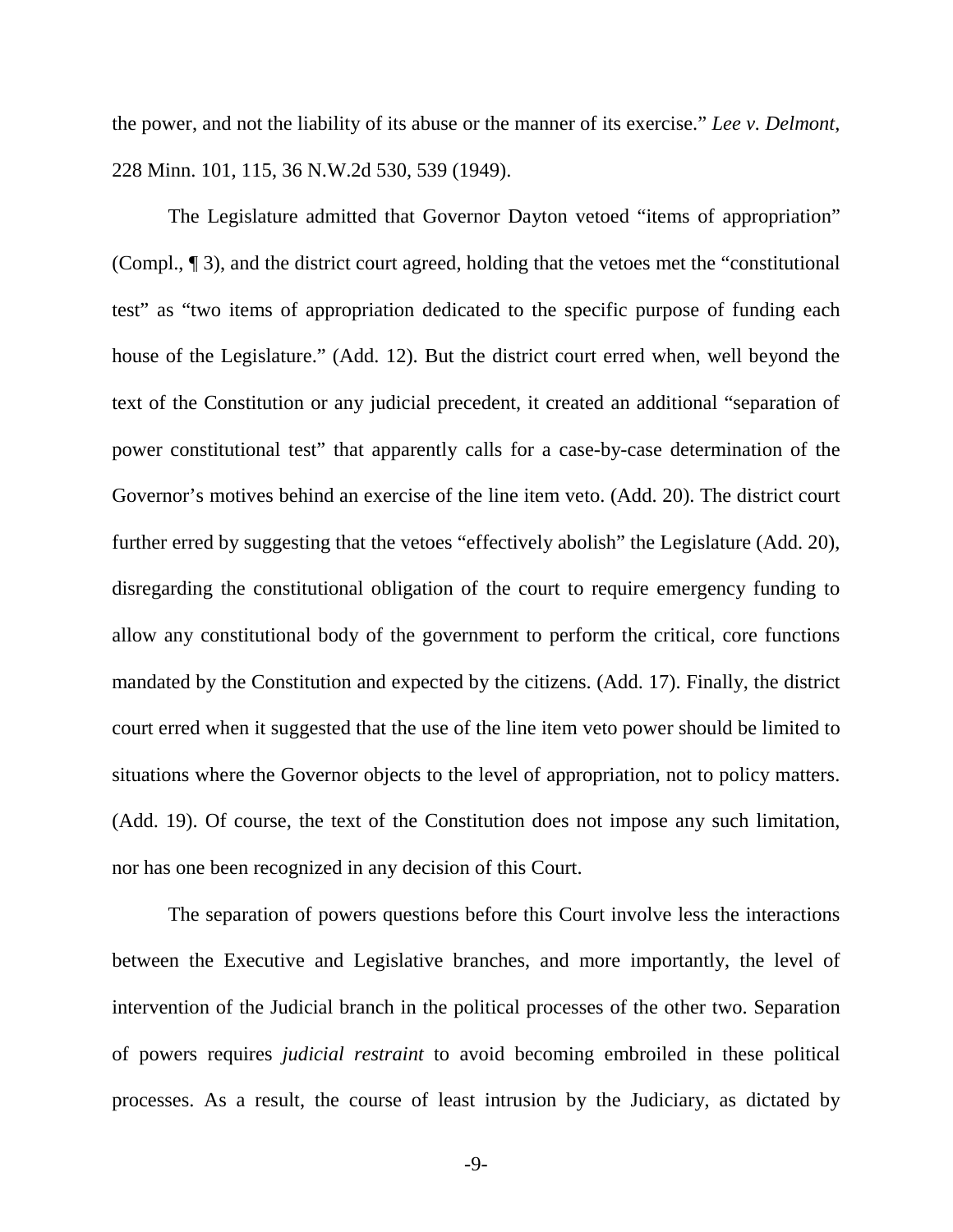the power, and not the liability of its abuse or the manner of its exercise." *Lee v. Delmont*, 228 Minn. 101, 115, 36 N.W.2d 530, 539 (1949).

The Legislature admitted that Governor Dayton vetoed "items of appropriation" (Compl., ¶ 3), and the district court agreed, holding that the vetoes met the "constitutional test" as "two items of appropriation dedicated to the specific purpose of funding each house of the Legislature." (Add. 12). But the district court erred when, well beyond the text of the Constitution or any judicial precedent, it created an additional "separation of power constitutional test" that apparently calls for a case-by-case determination of the Governor's motives behind an exercise of the line item veto. (Add. 20). The district court further erred by suggesting that the vetoes "effectively abolish" the Legislature (Add. 20), disregarding the constitutional obligation of the court to require emergency funding to allow any constitutional body of the government to perform the critical, core functions mandated by the Constitution and expected by the citizens. (Add. 17). Finally, the district court erred when it suggested that the use of the line item veto power should be limited to situations where the Governor objects to the level of appropriation, not to policy matters. (Add. 19). Of course, the text of the Constitution does not impose any such limitation, nor has one been recognized in any decision of this Court.

The separation of powers questions before this Court involve less the interactions between the Executive and Legislative branches, and more importantly, the level of intervention of the Judicial branch in the political processes of the other two. Separation of powers requires *judicial restraint* to avoid becoming embroiled in these political processes. As a result, the course of least intrusion by the Judiciary, as dictated by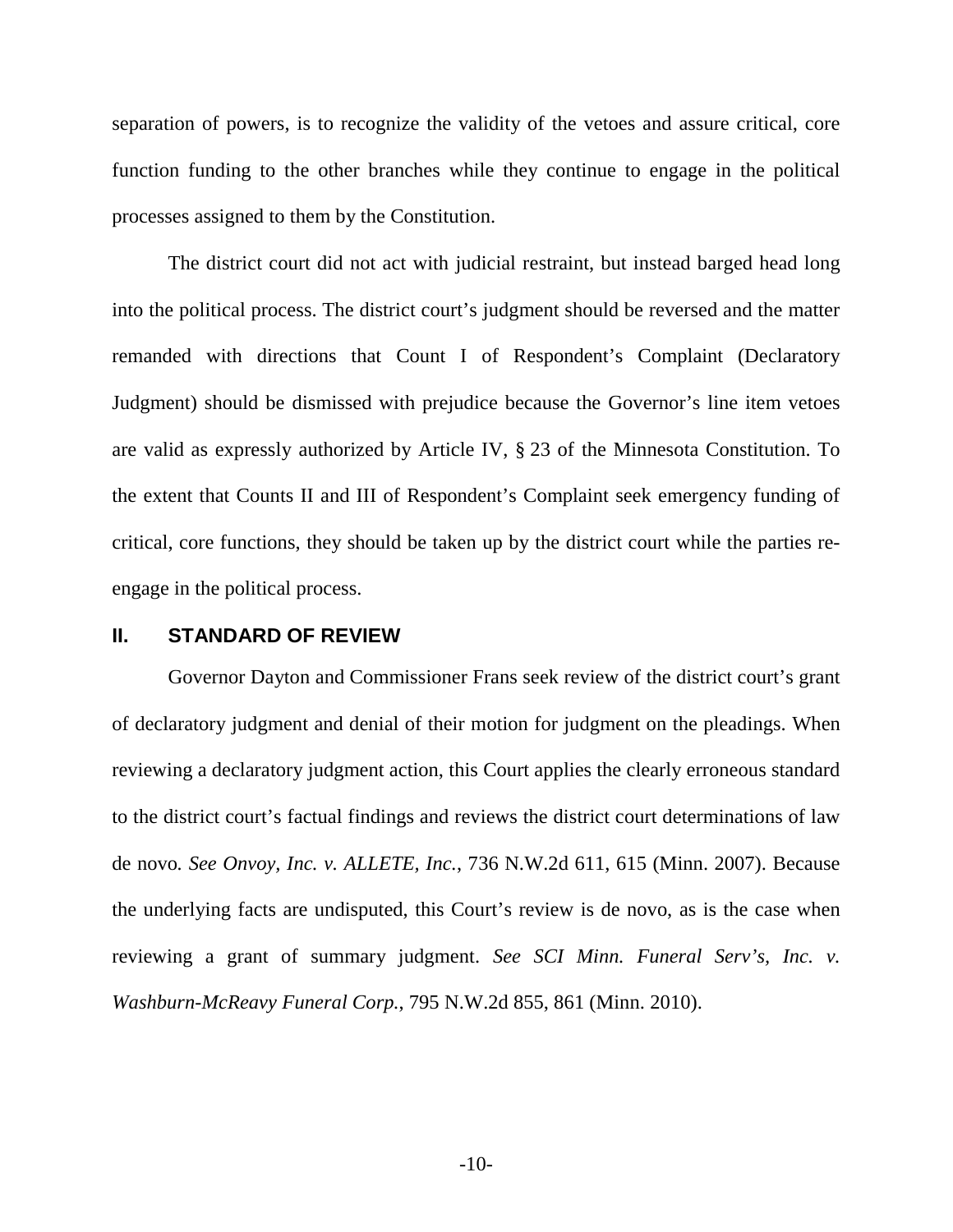separation of powers, is to recognize the validity of the vetoes and assure critical, core function funding to the other branches while they continue to engage in the political processes assigned to them by the Constitution.

The district court did not act with judicial restraint, but instead barged head long into the political process. The district court's judgment should be reversed and the matter remanded with directions that Count I of Respondent's Complaint (Declaratory Judgment) should be dismissed with prejudice because the Governor's line item vetoes are valid as expressly authorized by Article IV, § 23 of the Minnesota Constitution. To the extent that Counts II and III of Respondent's Complaint seek emergency funding of critical, core functions, they should be taken up by the district court while the parties reengage in the political process.

## **II. STANDARD OF REVIEW**

Governor Dayton and Commissioner Frans seek review of the district court's grant of declaratory judgment and denial of their motion for judgment on the pleadings. When reviewing a declaratory judgment action, this Court applies the clearly erroneous standard to the district court's factual findings and reviews the district court determinations of law de novo*. See Onvoy, Inc. v. ALLETE, Inc.*, 736 N.W.2d 611, 615 (Minn. 2007). Because the underlying facts are undisputed, this Court's review is de novo, as is the case when reviewing a grant of summary judgment. *See SCI Minn. Funeral Serv's, Inc. v. Washburn-McReavy Funeral Corp.*, 795 N.W.2d 855, 861 (Minn. 2010).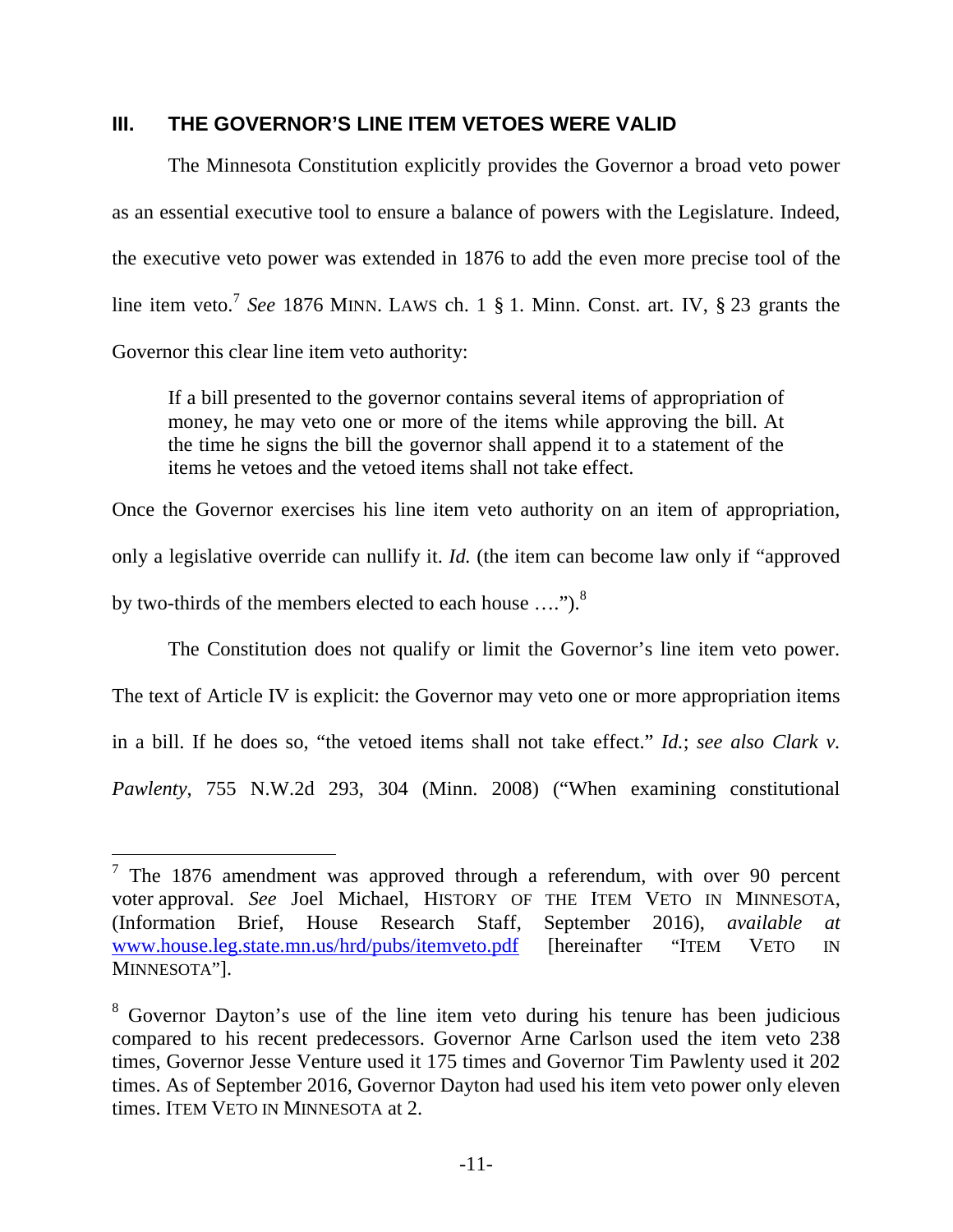### **III. THE GOVERNOR'S LINE ITEM VETOES WERE VALID**

The Minnesota Constitution explicitly provides the Governor a broad veto power as an essential executive tool to ensure a balance of powers with the Legislature. Indeed, the executive veto power was extended in 1876 to add the even more precise tool of the line item veto.<sup>7</sup> See 1876 MINN. LAWS ch. 1 § 1. Minn. Const. art. IV, § 23 grants the Governor this clear line item veto authority:

If a bill presented to the governor contains several items of appropriation of money, he may veto one or more of the items while approving the bill. At the time he signs the bill the governor shall append it to a statement of the items he vetoes and the vetoed items shall not take effect.

Once the Governor exercises his line item veto authority on an item of appropriation, only a legislative override can nullify it. *Id.* (the item can become law only if "approved by two-thirds of the members elected to each house ....").<sup>8</sup>

The Constitution does not qualify or limit the Governor's line item veto power. The text of Article IV is explicit: the Governor may veto one or more appropriation items in a bill. If he does so, "the vetoed items shall not take effect." *Id.*; *see also Clark v. Pawlenty*, 755 N.W.2d 293, 304 (Minn. 2008) ("When examining constitutional

<sup>&</sup>lt;sup>7</sup> The 1876 amendment was approved through a referendum, with over 90 percent voter approval. *See* Joel Michael, HISTORY OF THE ITEM VETO IN MINNESOTA, (Information Brief, House Research Staff, September 2016), *available at* www.house.leg.state.mn.us/hrd/pubs/itemveto.pdf [hereinafter "ITEM VETO IN MINNESOTA"].

<sup>&</sup>lt;sup>8</sup> Governor Dayton's use of the line item veto during his tenure has been judicious compared to his recent predecessors. Governor Arne Carlson used the item veto 238 times, Governor Jesse Venture used it 175 times and Governor Tim Pawlenty used it 202 times. As of September 2016, Governor Dayton had used his item veto power only eleven times. ITEM VETO IN MINNESOTA at 2.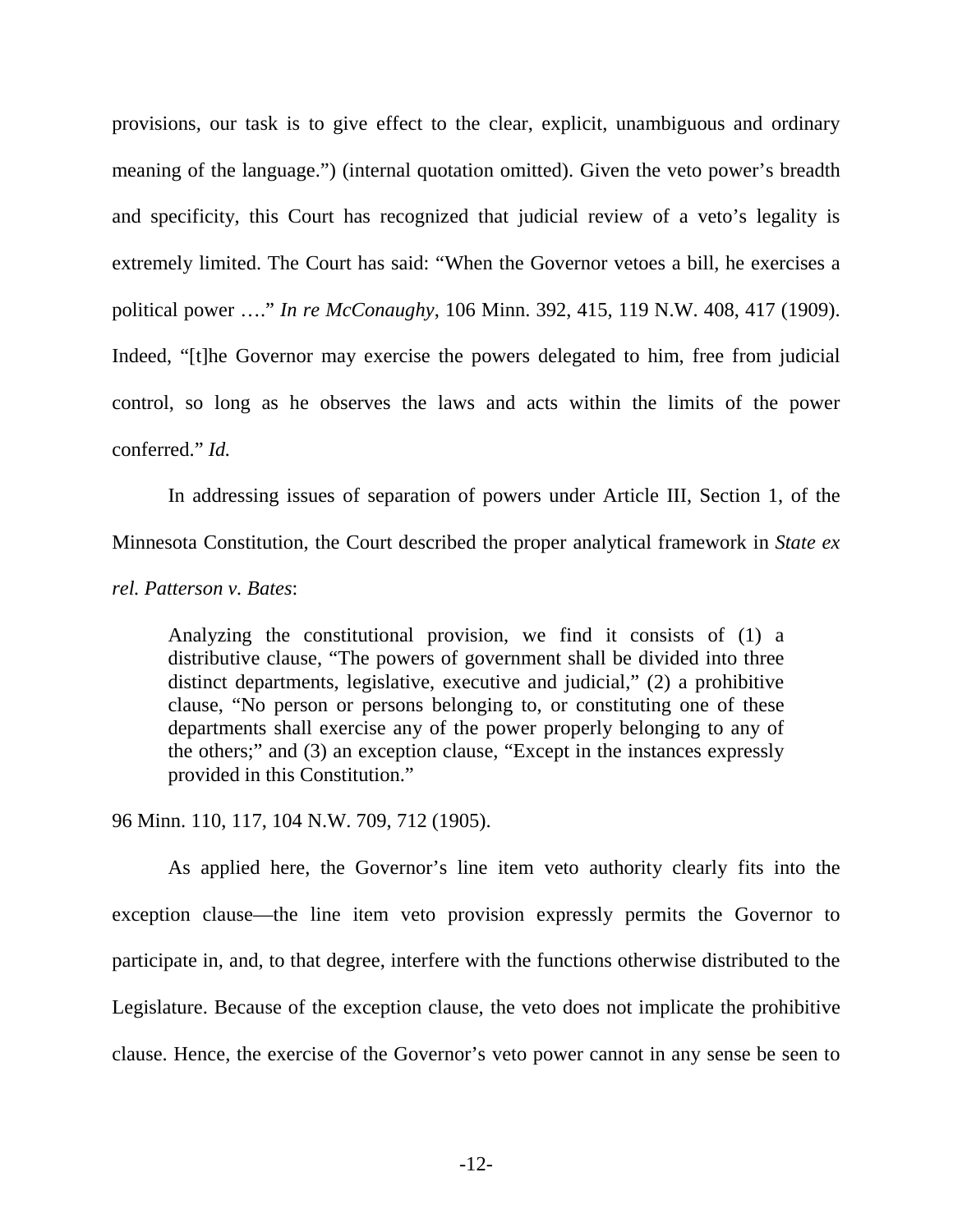provisions, our task is to give effect to the clear, explicit, unambiguous and ordinary meaning of the language.") (internal quotation omitted). Given the veto power's breadth and specificity, this Court has recognized that judicial review of a veto's legality is extremely limited. The Court has said: "When the Governor vetoes a bill, he exercises a political power …." *In re McConaughy*, 106 Minn. 392, 415, 119 N.W. 408, 417 (1909). Indeed, "[t]he Governor may exercise the powers delegated to him, free from judicial control, so long as he observes the laws and acts within the limits of the power conferred." *Id.* 

In addressing issues of separation of powers under Article III, Section 1, of the Minnesota Constitution, the Court described the proper analytical framework in *State ex rel. Patterson v. Bates*:

Analyzing the constitutional provision, we find it consists of (1) a distributive clause, "The powers of government shall be divided into three distinct departments, legislative, executive and judicial," (2) a prohibitive clause, "No person or persons belonging to, or constituting one of these departments shall exercise any of the power properly belonging to any of the others;" and (3) an exception clause, "Except in the instances expressly provided in this Constitution."

96 Minn. 110, 117, 104 N.W. 709, 712 (1905).

As applied here, the Governor's line item veto authority clearly fits into the exception clause—the line item veto provision expressly permits the Governor to participate in, and, to that degree, interfere with the functions otherwise distributed to the Legislature. Because of the exception clause, the veto does not implicate the prohibitive clause. Hence, the exercise of the Governor's veto power cannot in any sense be seen to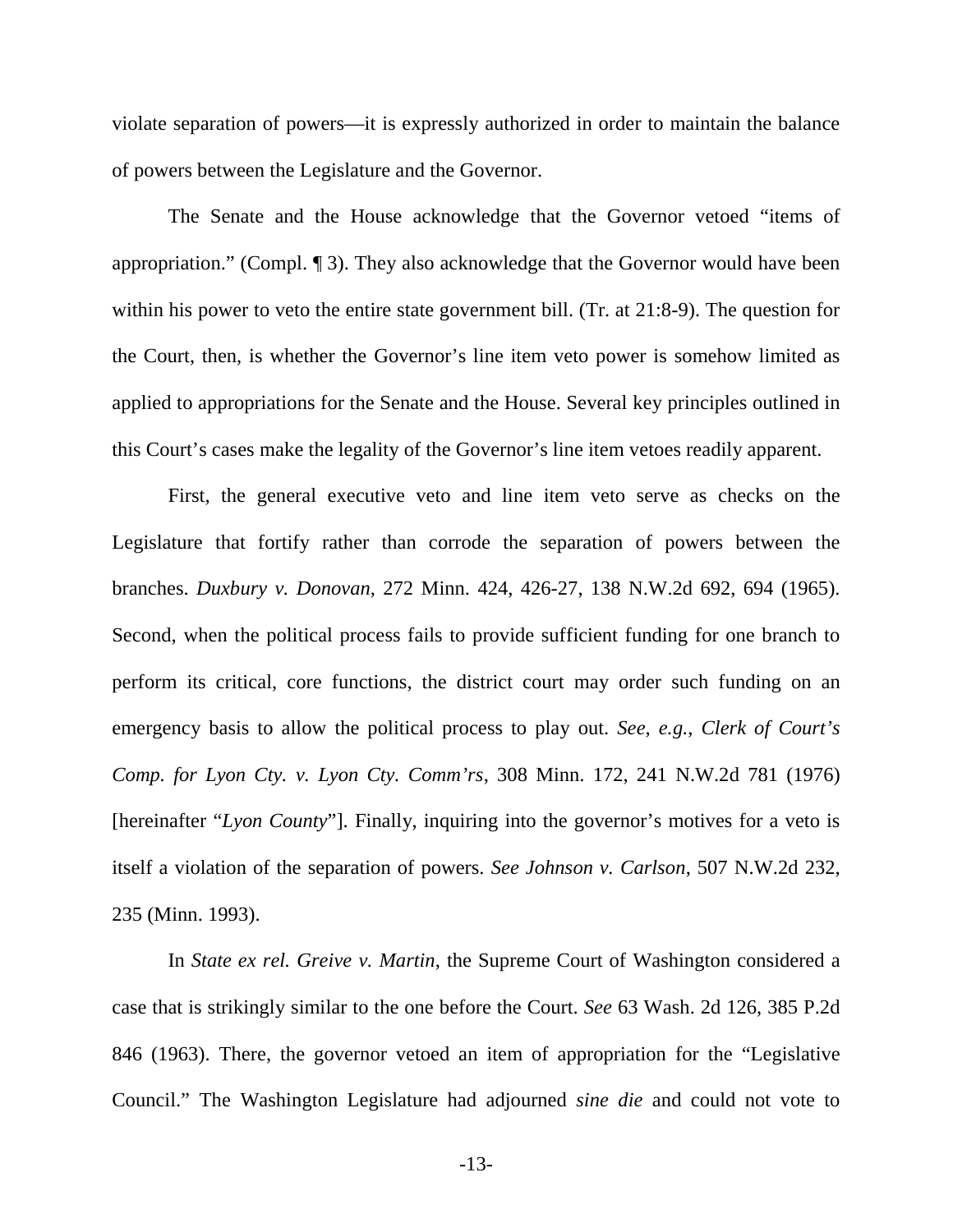violate separation of powers—it is expressly authorized in order to maintain the balance of powers between the Legislature and the Governor.

The Senate and the House acknowledge that the Governor vetoed "items of appropriation." (Compl. ¶ 3). They also acknowledge that the Governor would have been within his power to veto the entire state government bill. (Tr. at 21:8-9). The question for the Court, then, is whether the Governor's line item veto power is somehow limited as applied to appropriations for the Senate and the House. Several key principles outlined in this Court's cases make the legality of the Governor's line item vetoes readily apparent.

First, the general executive veto and line item veto serve as checks on the Legislature that fortify rather than corrode the separation of powers between the branches. *Duxbury v. Donovan*, 272 Minn. 424, 426-27, 138 N.W.2d 692, 694 (1965). Second, when the political process fails to provide sufficient funding for one branch to perform its critical, core functions, the district court may order such funding on an emergency basis to allow the political process to play out. *See*, *e.g.*, *Clerk of Court's Comp. for Lyon Cty. v. Lyon Cty. Comm'rs*, 308 Minn. 172, 241 N.W.2d 781 (1976) [hereinafter "*Lyon County*"]. Finally, inquiring into the governor's motives for a veto is itself a violation of the separation of powers. *See Johnson v. Carlson*, 507 N.W.2d 232, 235 (Minn. 1993).

In *State ex rel. Greive v. Martin*, the Supreme Court of Washington considered a case that is strikingly similar to the one before the Court. *See* 63 Wash. 2d 126, 385 P.2d 846 (1963). There, the governor vetoed an item of appropriation for the "Legislative Council." The Washington Legislature had adjourned *sine die* and could not vote to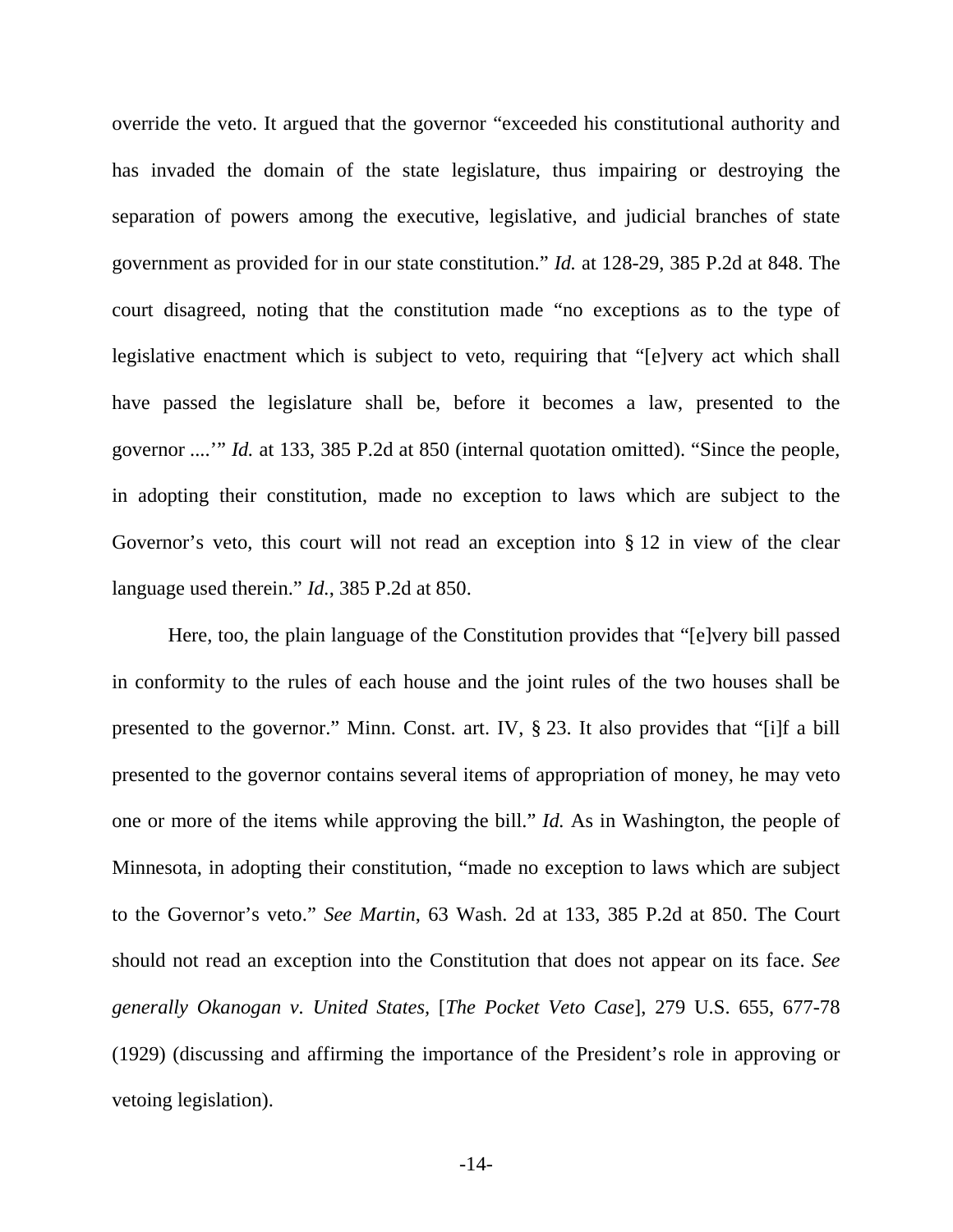override the veto. It argued that the governor "exceeded his constitutional authority and has invaded the domain of the state legislature, thus impairing or destroying the separation of powers among the executive, legislative, and judicial branches of state government as provided for in our state constitution." *Id.* at 128-29, 385 P.2d at 848. The court disagreed, noting that the constitution made "no exceptions as to the type of legislative enactment which is subject to veto, requiring that "[e]very act which shall have passed the legislature shall be, before it becomes a law, presented to the governor ....'" *Id.* at 133, 385 P.2d at 850 (internal quotation omitted). "Since the people, in adopting their constitution, made no exception to laws which are subject to the Governor's veto, this court will not read an exception into § 12 in view of the clear language used therein." *Id.*, 385 P.2d at 850.

Here, too, the plain language of the Constitution provides that "[e]very bill passed in conformity to the rules of each house and the joint rules of the two houses shall be presented to the governor." Minn. Const. art. IV, § 23. It also provides that "[i]f a bill presented to the governor contains several items of appropriation of money, he may veto one or more of the items while approving the bill." *Id.* As in Washington, the people of Minnesota, in adopting their constitution, "made no exception to laws which are subject to the Governor's veto." *See Martin*, 63 Wash. 2d at 133, 385 P.2d at 850. The Court should not read an exception into the Constitution that does not appear on its face. *See generally Okanogan v. United States,* [*The Pocket Veto Case*], 279 U.S. 655, 677-78 (1929) (discussing and affirming the importance of the President's role in approving or vetoing legislation).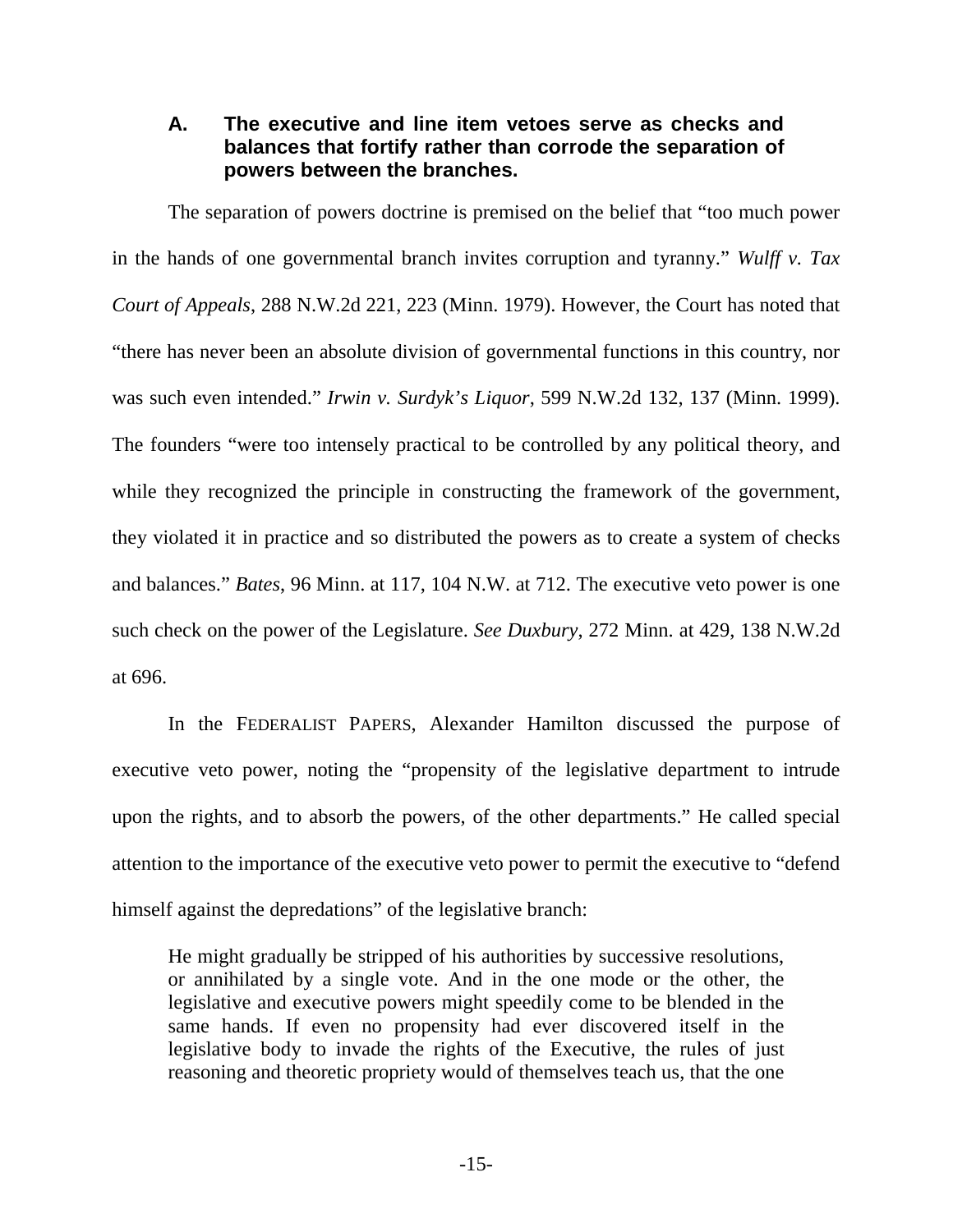## **A. The executive and line item vetoes serve as checks and balances that fortify rather than corrode the separation of powers between the branches.**

The separation of powers doctrine is premised on the belief that "too much power in the hands of one governmental branch invites corruption and tyranny." *Wulff v. Tax Court of Appeals*, 288 N.W.2d 221, 223 (Minn. 1979). However, the Court has noted that "there has never been an absolute division of governmental functions in this country, nor was such even intended." *Irwin v. Surdyk's Liquor*, 599 N.W.2d 132, 137 (Minn. 1999). The founders "were too intensely practical to be controlled by any political theory, and while they recognized the principle in constructing the framework of the government, they violated it in practice and so distributed the powers as to create a system of checks and balances." *Bates*, 96 Minn. at 117, 104 N.W. at 712. The executive veto power is one such check on the power of the Legislature. *See Duxbury*, 272 Minn. at 429, 138 N.W.2d at 696.

In the FEDERALIST PAPERS, Alexander Hamilton discussed the purpose of executive veto power, noting the "propensity of the legislative department to intrude upon the rights, and to absorb the powers, of the other departments." He called special attention to the importance of the executive veto power to permit the executive to "defend himself against the depredations" of the legislative branch:

He might gradually be stripped of his authorities by successive resolutions, or annihilated by a single vote. And in the one mode or the other, the legislative and executive powers might speedily come to be blended in the same hands. If even no propensity had ever discovered itself in the legislative body to invade the rights of the Executive, the rules of just reasoning and theoretic propriety would of themselves teach us, that the one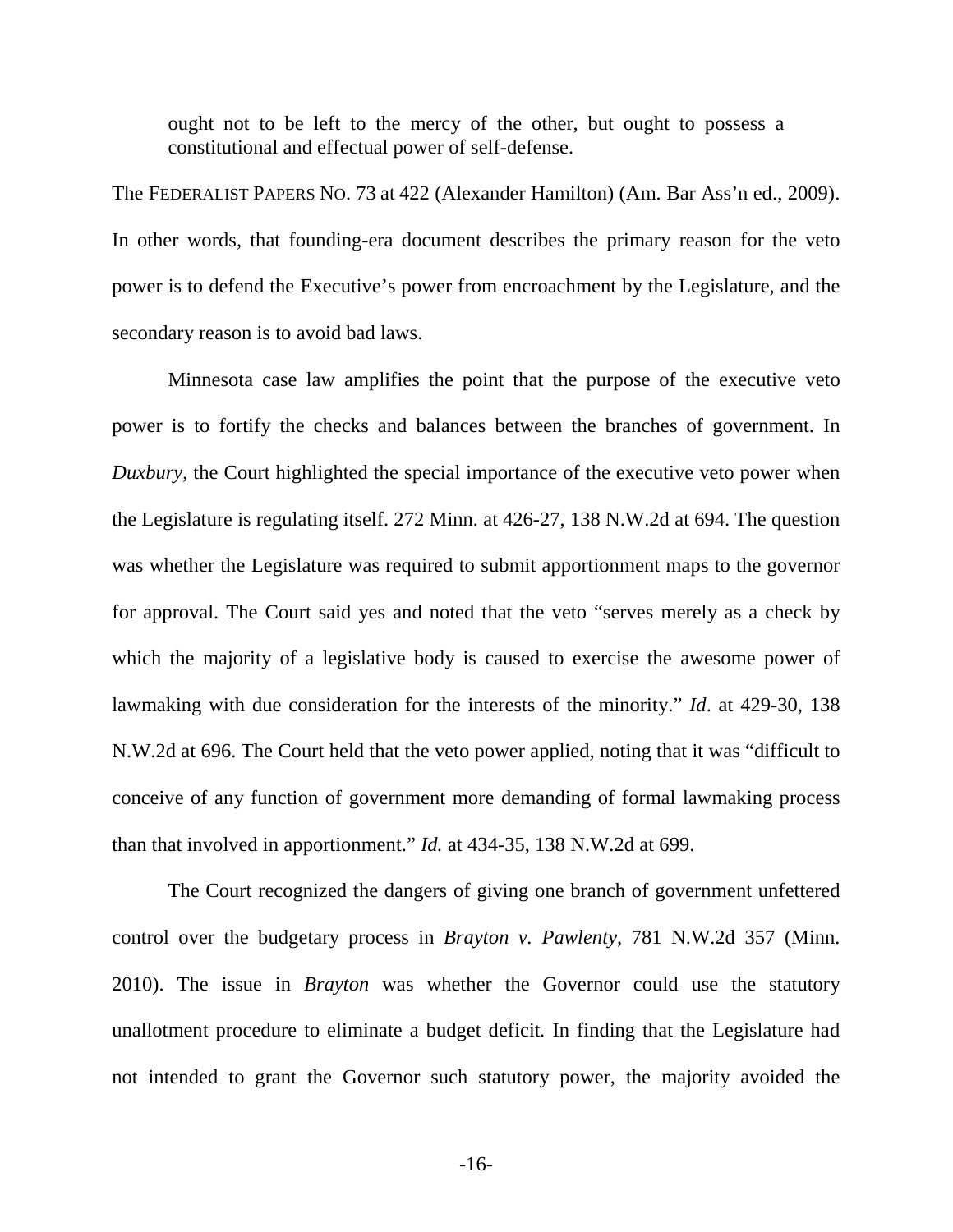ought not to be left to the mercy of the other, but ought to possess a constitutional and effectual power of self-defense.

The FEDERALIST PAPERS NO. 73 at 422 (Alexander Hamilton) (Am. Bar Ass'n ed., 2009). In other words, that founding-era document describes the primary reason for the veto power is to defend the Executive's power from encroachment by the Legislature, and the secondary reason is to avoid bad laws.

Minnesota case law amplifies the point that the purpose of the executive veto power is to fortify the checks and balances between the branches of government. In *Duxbury*, the Court highlighted the special importance of the executive veto power when the Legislature is regulating itself. 272 Minn. at 426-27, 138 N.W.2d at 694. The question was whether the Legislature was required to submit apportionment maps to the governor for approval. The Court said yes and noted that the veto "serves merely as a check by which the majority of a legislative body is caused to exercise the awesome power of lawmaking with due consideration for the interests of the minority." *Id*. at 429-30, 138 N.W.2d at 696. The Court held that the veto power applied, noting that it was "difficult to conceive of any function of government more demanding of formal lawmaking process than that involved in apportionment." *Id.* at 434-35, 138 N.W.2d at 699.

The Court recognized the dangers of giving one branch of government unfettered control over the budgetary process in *Brayton v. Pawlenty*, 781 N.W.2d 357 (Minn. 2010). The issue in *Brayton* was whether the Governor could use the statutory unallotment procedure to eliminate a budget deficit*.* In finding that the Legislature had not intended to grant the Governor such statutory power, the majority avoided the

-16-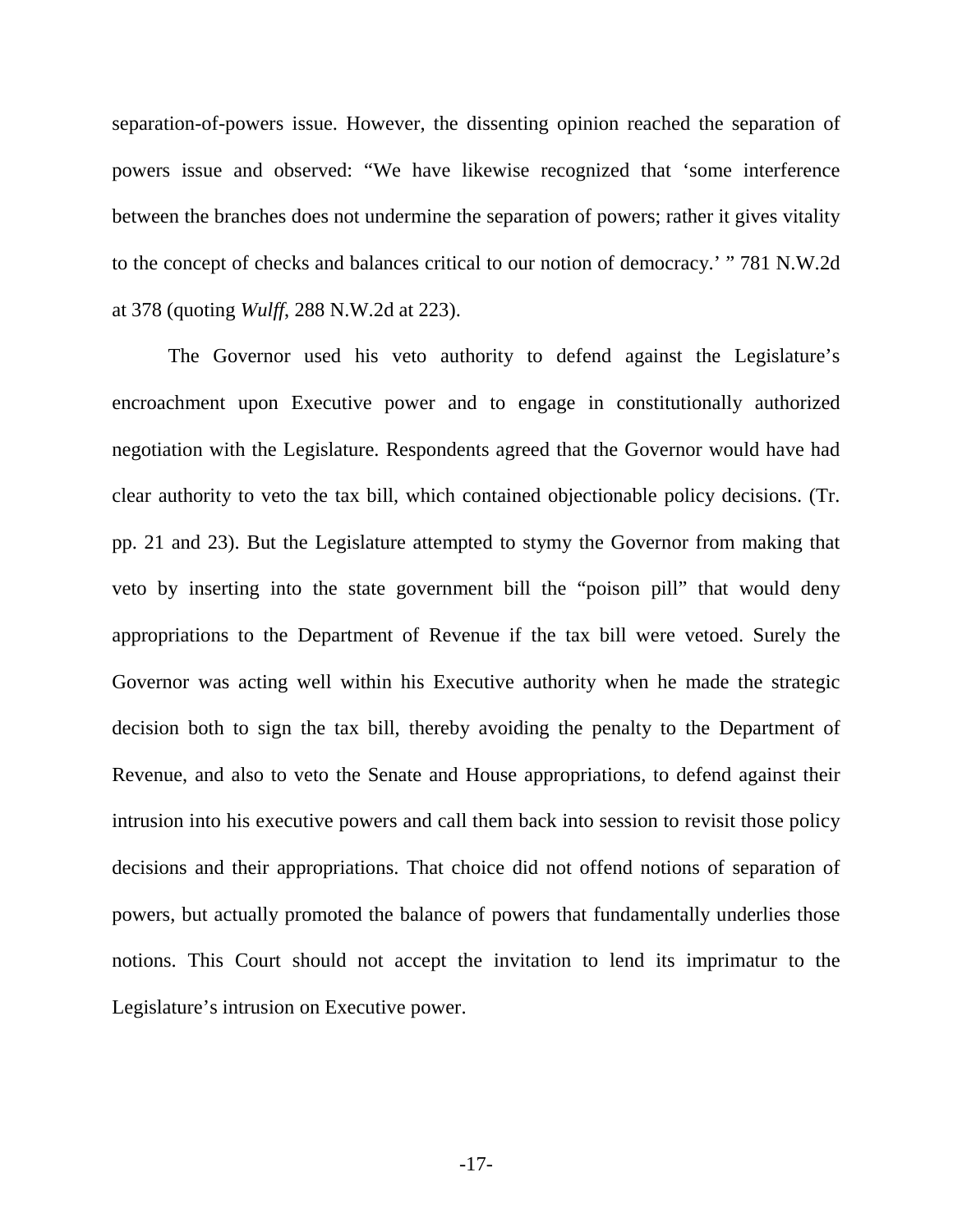separation-of-powers issue. However, the dissenting opinion reached the separation of powers issue and observed: "We have likewise recognized that 'some interference between the branches does not undermine the separation of powers; rather it gives vitality to the concept of checks and balances critical to our notion of democracy.' " 781 N.W.2d at 378 (quoting *Wulff*, 288 N.W.2d at 223).

The Governor used his veto authority to defend against the Legislature's encroachment upon Executive power and to engage in constitutionally authorized negotiation with the Legislature. Respondents agreed that the Governor would have had clear authority to veto the tax bill, which contained objectionable policy decisions. (Tr. pp. 21 and 23). But the Legislature attempted to stymy the Governor from making that veto by inserting into the state government bill the "poison pill" that would deny appropriations to the Department of Revenue if the tax bill were vetoed. Surely the Governor was acting well within his Executive authority when he made the strategic decision both to sign the tax bill, thereby avoiding the penalty to the Department of Revenue, and also to veto the Senate and House appropriations, to defend against their intrusion into his executive powers and call them back into session to revisit those policy decisions and their appropriations. That choice did not offend notions of separation of powers, but actually promoted the balance of powers that fundamentally underlies those notions. This Court should not accept the invitation to lend its imprimatur to the Legislature's intrusion on Executive power.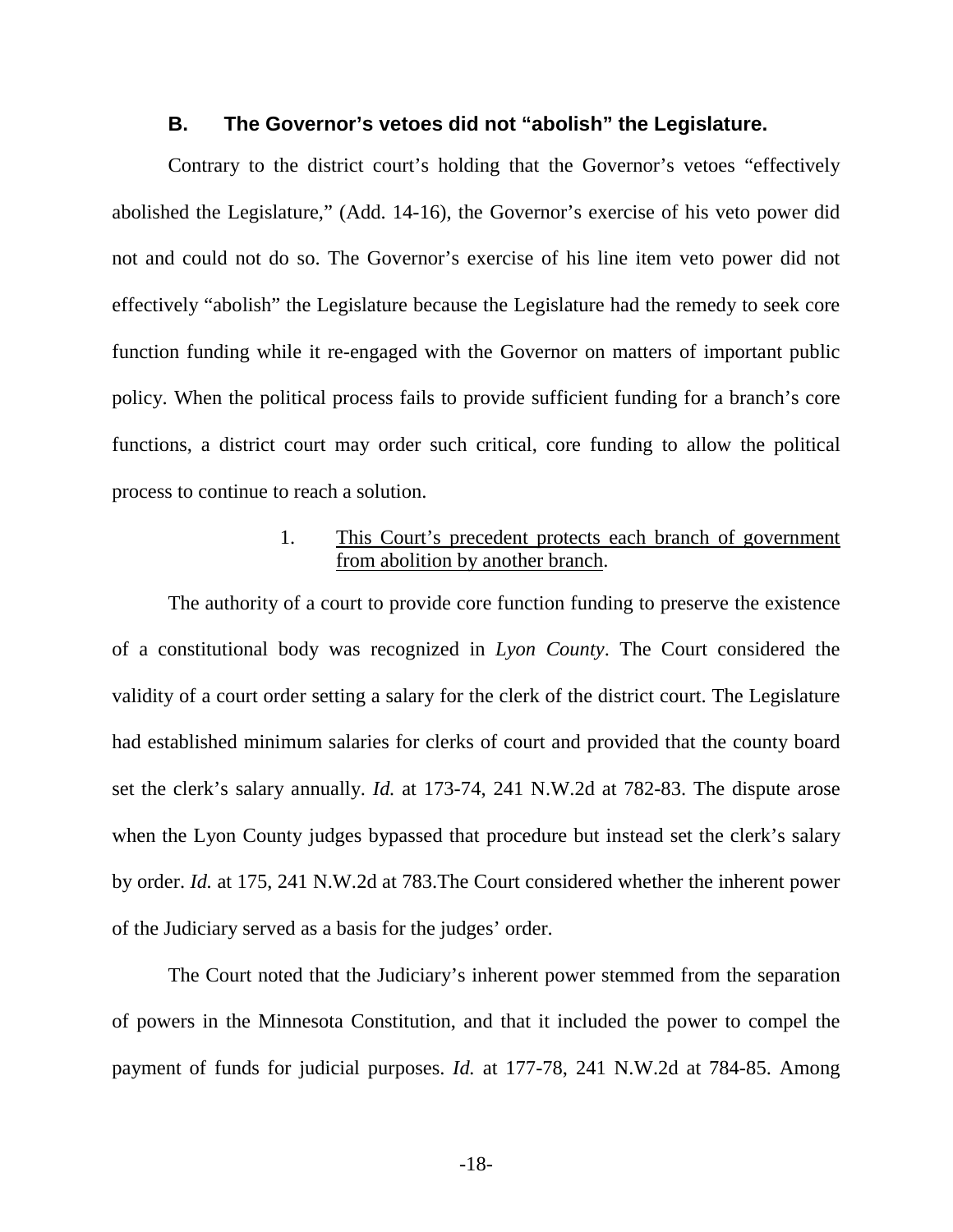#### **B. The Governor's vetoes did not "abolish" the Legislature.**

Contrary to the district court's holding that the Governor's vetoes "effectively abolished the Legislature," (Add. 14-16), the Governor's exercise of his veto power did not and could not do so. The Governor's exercise of his line item veto power did not effectively "abolish" the Legislature because the Legislature had the remedy to seek core function funding while it re-engaged with the Governor on matters of important public policy. When the political process fails to provide sufficient funding for a branch's core functions, a district court may order such critical, core funding to allow the political process to continue to reach a solution.

### 1. This Court's precedent protects each branch of government from abolition by another branch.

The authority of a court to provide core function funding to preserve the existence of a constitutional body was recognized in *Lyon County*. The Court considered the validity of a court order setting a salary for the clerk of the district court. The Legislature had established minimum salaries for clerks of court and provided that the county board set the clerk's salary annually. *Id.* at 173-74, 241 N.W.2d at 782-83. The dispute arose when the Lyon County judges bypassed that procedure but instead set the clerk's salary by order. *Id.* at 175, 241 N.W.2d at 783.The Court considered whether the inherent power of the Judiciary served as a basis for the judges' order.

The Court noted that the Judiciary's inherent power stemmed from the separation of powers in the Minnesota Constitution, and that it included the power to compel the payment of funds for judicial purposes. *Id.* at 177-78, 241 N.W.2d at 784-85. Among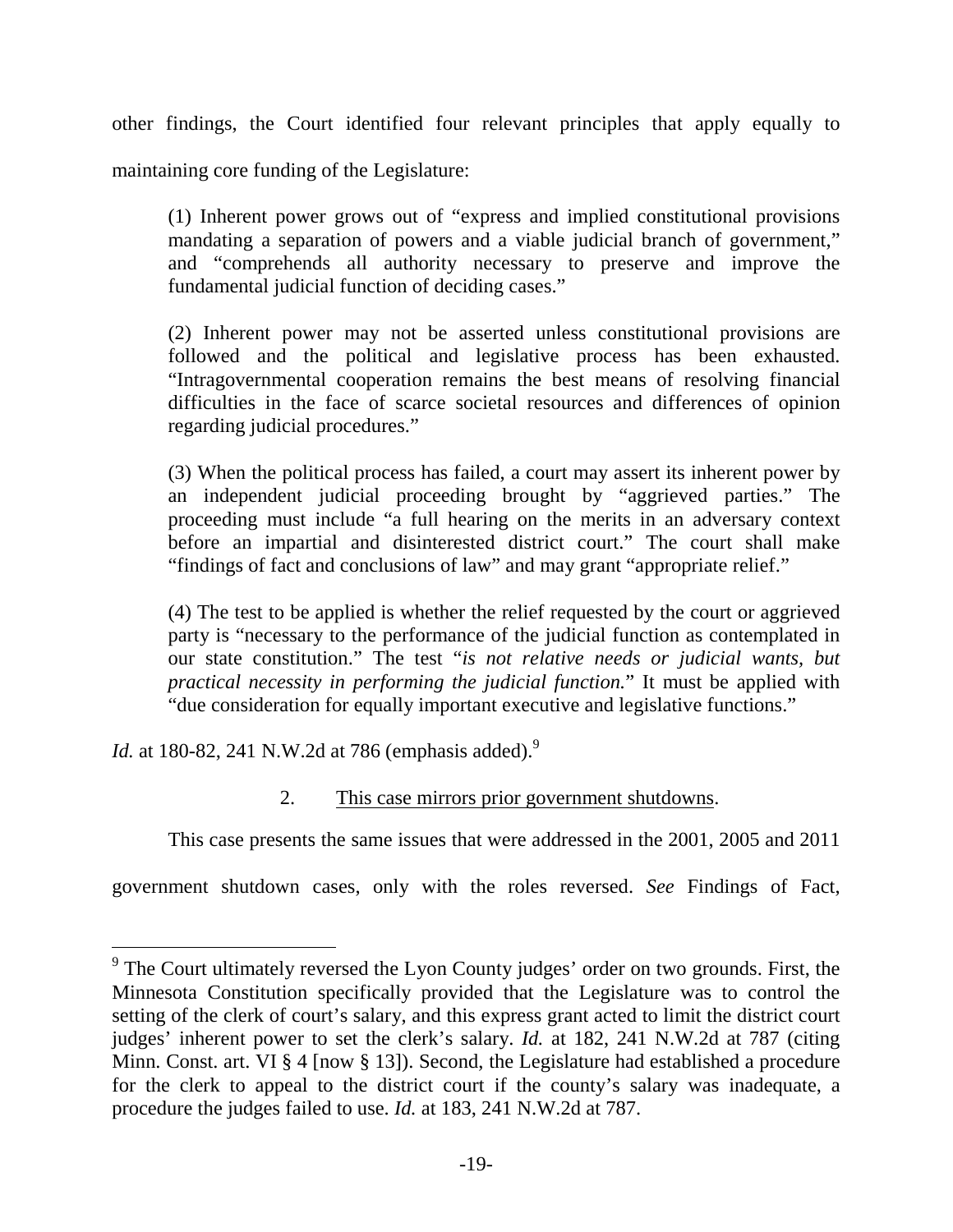other findings, the Court identified four relevant principles that apply equally to maintaining core funding of the Legislature:

(1) Inherent power grows out of "express and implied constitutional provisions mandating a separation of powers and a viable judicial branch of government," and "comprehends all authority necessary to preserve and improve the fundamental judicial function of deciding cases."

(2) Inherent power may not be asserted unless constitutional provisions are followed and the political and legislative process has been exhausted. "Intragovernmental cooperation remains the best means of resolving financial difficulties in the face of scarce societal resources and differences of opinion regarding judicial procedures."

(3) When the political process has failed, a court may assert its inherent power by an independent judicial proceeding brought by "aggrieved parties." The proceeding must include "a full hearing on the merits in an adversary context before an impartial and disinterested district court." The court shall make "findings of fact and conclusions of law" and may grant "appropriate relief."

(4) The test to be applied is whether the relief requested by the court or aggrieved party is "necessary to the performance of the judicial function as contemplated in our state constitution." The test "*is not relative needs or judicial wants, but practical necessity in performing the judicial function.*" It must be applied with "due consideration for equally important executive and legislative functions."

*Id.* at 180-82, 241 N.W.2d at 786 (emphasis added).<sup>9</sup>

## 2. This case mirrors prior government shutdowns.

This case presents the same issues that were addressed in the 2001, 2005 and 2011

government shutdown cases, only with the roles reversed. *See* Findings of Fact,

 $9$  The Court ultimately reversed the Lyon County judges' order on two grounds. First, the Minnesota Constitution specifically provided that the Legislature was to control the setting of the clerk of court's salary, and this express grant acted to limit the district court judges' inherent power to set the clerk's salary. *Id.* at 182, 241 N.W.2d at 787 (citing Minn. Const. art. VI § 4 [now § 13]). Second, the Legislature had established a procedure for the clerk to appeal to the district court if the county's salary was inadequate, a procedure the judges failed to use. *Id.* at 183, 241 N.W.2d at 787.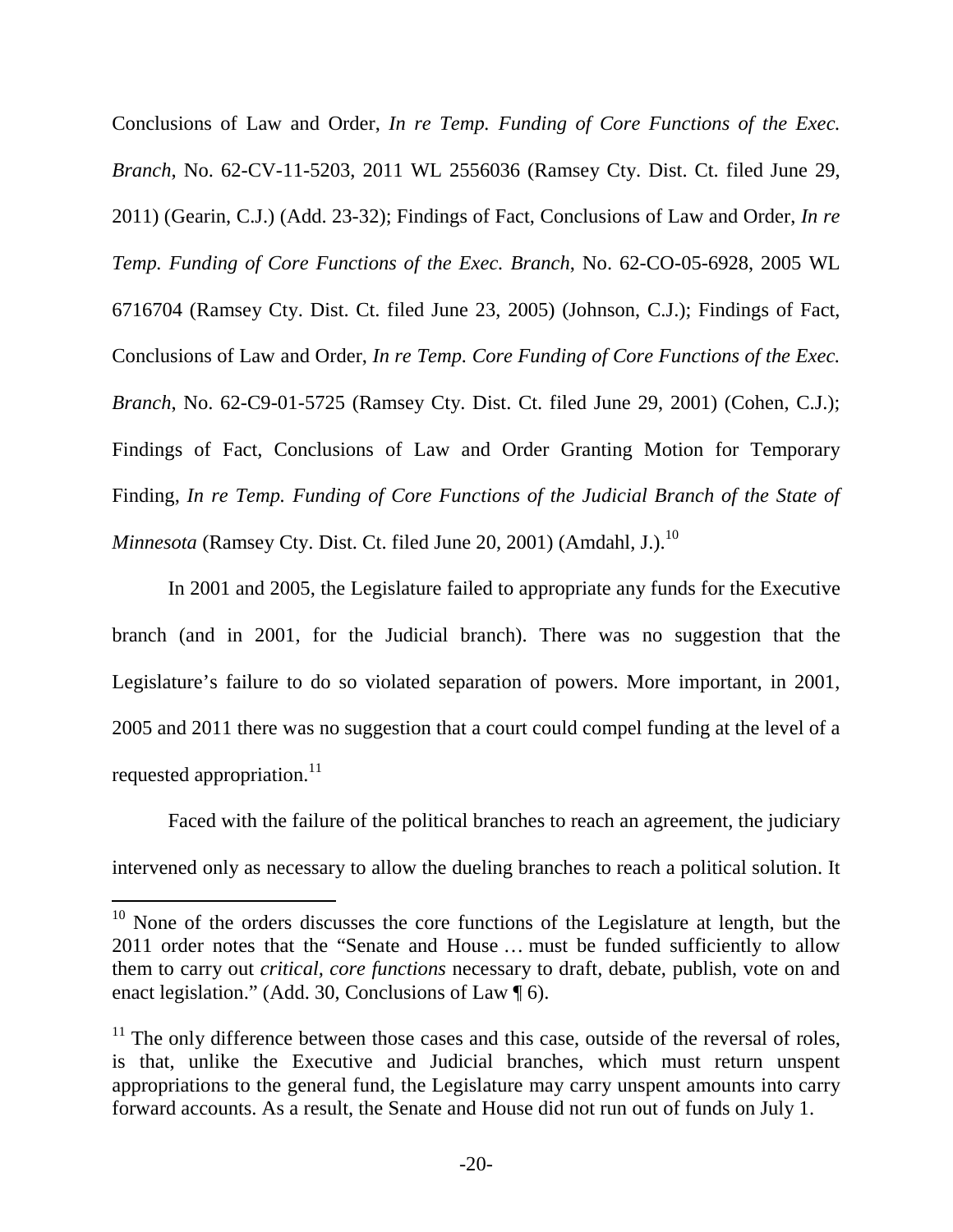Conclusions of Law and Order, *In re Temp. Funding of Core Functions of the Exec. Branch*, No. 62-CV-11-5203, 2011 WL 2556036 (Ramsey Cty. Dist. Ct. filed June 29, 2011) (Gearin, C.J.) (Add. 23-32); Findings of Fact, Conclusions of Law and Order, *In re Temp. Funding of Core Functions of the Exec. Branch*, No. 62-CO-05-6928, 2005 WL 6716704 (Ramsey Cty. Dist. Ct. filed June 23, 2005) (Johnson, C.J.); Findings of Fact, Conclusions of Law and Order, *In re Temp. Core Funding of Core Functions of the Exec. Branch*, No. 62-C9-01-5725 (Ramsey Cty. Dist. Ct. filed June 29, 2001) (Cohen, C.J.); Findings of Fact, Conclusions of Law and Order Granting Motion for Temporary Finding, *In re Temp. Funding of Core Functions of the Judicial Branch of the State of Minnesota* (Ramsey Cty. Dist. Ct. filed June 20, 2001) (Amdahl, J.).<sup>10</sup>

In 2001 and 2005, the Legislature failed to appropriate any funds for the Executive branch (and in 2001, for the Judicial branch). There was no suggestion that the Legislature's failure to do so violated separation of powers. More important, in 2001, 2005 and 2011 there was no suggestion that a court could compel funding at the level of a requested appropriation. $^{11}$ 

Faced with the failure of the political branches to reach an agreement, the judiciary intervened only as necessary to allow the dueling branches to reach a political solution. It

 $10$  None of the orders discusses the core functions of the Legislature at length, but the 2011 order notes that the "Senate and House … must be funded sufficiently to allow them to carry out *critical, core functions* necessary to draft, debate, publish, vote on and enact legislation." (Add. 30, Conclusions of Law ¶ 6).

 $11$  The only difference between those cases and this case, outside of the reversal of roles, is that, unlike the Executive and Judicial branches, which must return unspent appropriations to the general fund, the Legislature may carry unspent amounts into carry forward accounts. As a result, the Senate and House did not run out of funds on July 1.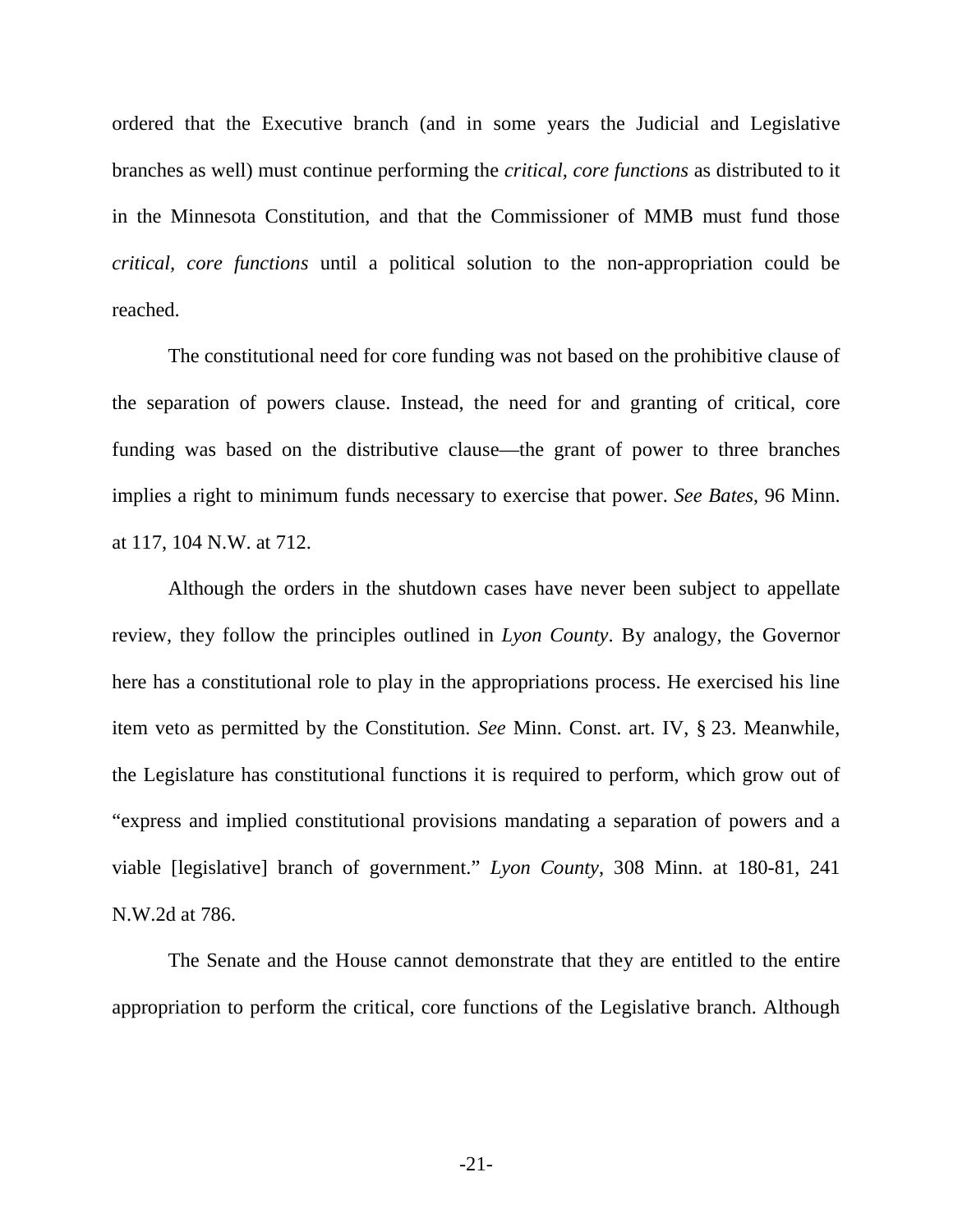ordered that the Executive branch (and in some years the Judicial and Legislative branches as well) must continue performing the *critical, core functions* as distributed to it in the Minnesota Constitution, and that the Commissioner of MMB must fund those *critical, core functions* until a political solution to the non-appropriation could be reached.

The constitutional need for core funding was not based on the prohibitive clause of the separation of powers clause. Instead, the need for and granting of critical, core funding was based on the distributive clause—the grant of power to three branches implies a right to minimum funds necessary to exercise that power. *See Bates*, 96 Minn. at 117, 104 N.W. at 712.

Although the orders in the shutdown cases have never been subject to appellate review, they follow the principles outlined in *Lyon County*. By analogy, the Governor here has a constitutional role to play in the appropriations process. He exercised his line item veto as permitted by the Constitution. *See* Minn. Const. art. IV, § 23. Meanwhile, the Legislature has constitutional functions it is required to perform, which grow out of "express and implied constitutional provisions mandating a separation of powers and a viable [legislative] branch of government." *Lyon County*, 308 Minn. at 180-81, 241 N.W.2d at 786.

The Senate and the House cannot demonstrate that they are entitled to the entire appropriation to perform the critical, core functions of the Legislative branch. Although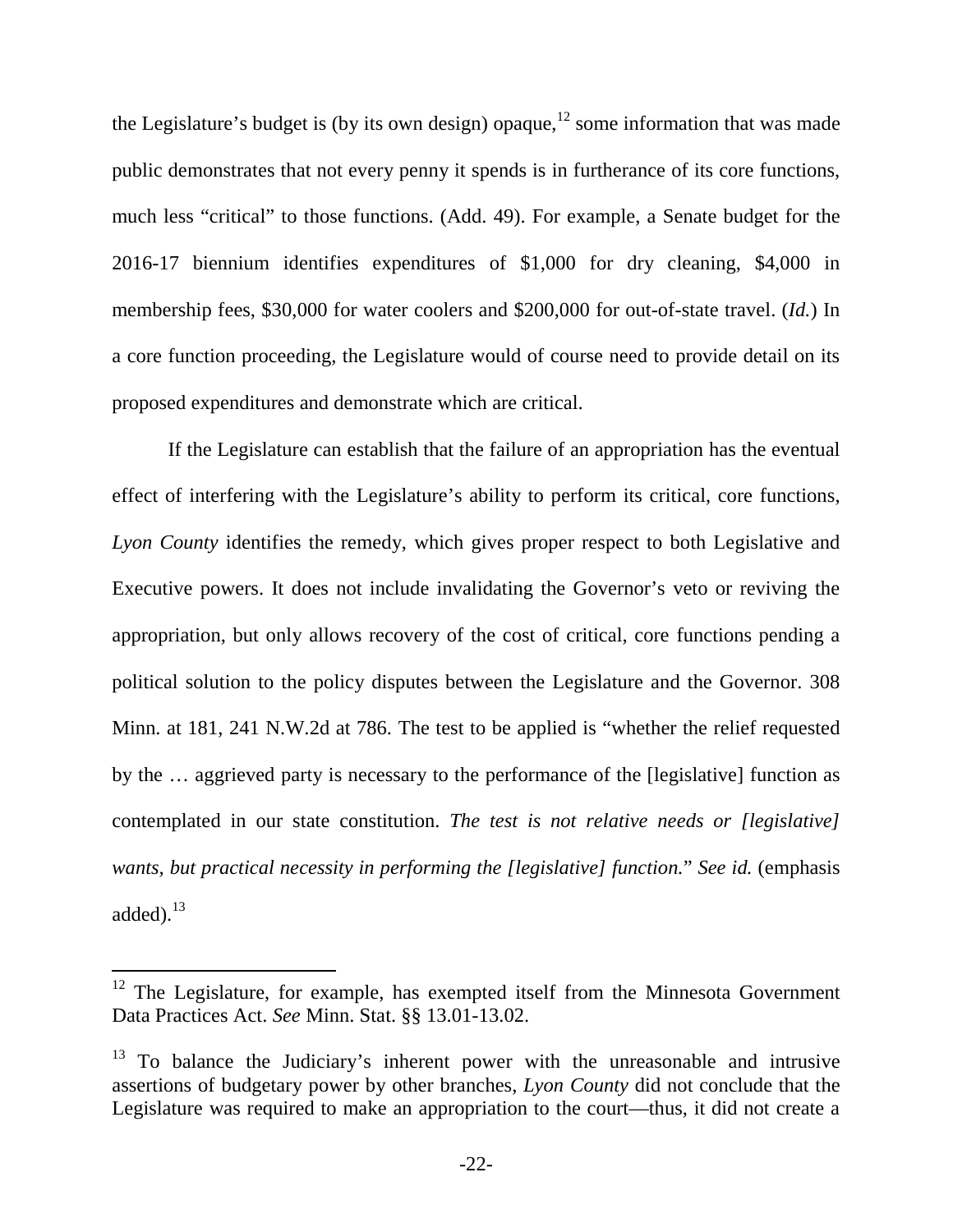the Legislature's budget is (by its own design) opaque,<sup>12</sup> some information that was made public demonstrates that not every penny it spends is in furtherance of its core functions, much less "critical" to those functions. (Add. 49). For example, a Senate budget for the 2016-17 biennium identifies expenditures of \$1,000 for dry cleaning, \$4,000 in membership fees, \$30,000 for water coolers and \$200,000 for out-of-state travel. (*Id.*) In a core function proceeding, the Legislature would of course need to provide detail on its proposed expenditures and demonstrate which are critical.

If the Legislature can establish that the failure of an appropriation has the eventual effect of interfering with the Legislature's ability to perform its critical, core functions, *Lyon County* identifies the remedy, which gives proper respect to both Legislative and Executive powers. It does not include invalidating the Governor's veto or reviving the appropriation, but only allows recovery of the cost of critical, core functions pending a political solution to the policy disputes between the Legislature and the Governor. 308 Minn. at 181, 241 N.W.2d at 786. The test to be applied is "whether the relief requested by the … aggrieved party is necessary to the performance of the [legislative] function as contemplated in our state constitution. *The test is not relative needs or [legislative] wants, but practical necessity in performing the [legislative] function.*" *See id.* (emphasis added $l^{13}$ 

<sup>&</sup>lt;sup>12</sup> The Legislature, for example, has exempted itself from the Minnesota Government Data Practices Act. *See* Minn. Stat. §§ 13.01-13.02.

 $13$  To balance the Judiciary's inherent power with the unreasonable and intrusive assertions of budgetary power by other branches, *Lyon County* did not conclude that the Legislature was required to make an appropriation to the court—thus, it did not create a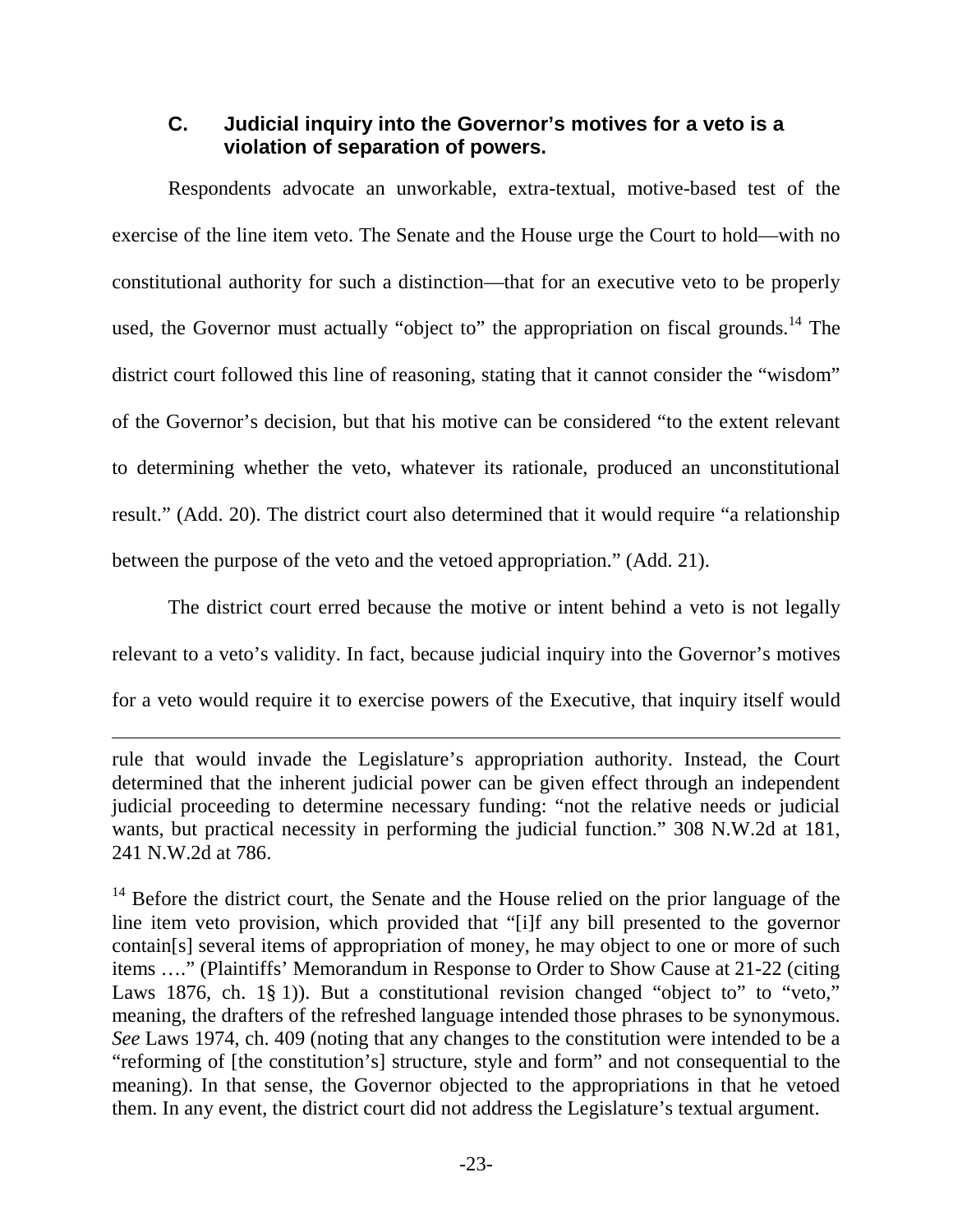## **C. Judicial inquiry into the Governor's motives for a veto is a violation of separation of powers.**

Respondents advocate an unworkable, extra-textual, motive-based test of the exercise of the line item veto. The Senate and the House urge the Court to hold—with no constitutional authority for such a distinction—that for an executive veto to be properly used, the Governor must actually "object to" the appropriation on fiscal grounds.<sup>14</sup> The district court followed this line of reasoning, stating that it cannot consider the "wisdom" of the Governor's decision, but that his motive can be considered "to the extent relevant to determining whether the veto, whatever its rationale, produced an unconstitutional result." (Add. 20). The district court also determined that it would require "a relationship between the purpose of the veto and the vetoed appropriation." (Add. 21).

The district court erred because the motive or intent behind a veto is not legally relevant to a veto's validity. In fact, because judicial inquiry into the Governor's motives for a veto would require it to exercise powers of the Executive, that inquiry itself would

rule that would invade the Legislature's appropriation authority. Instead, the Court determined that the inherent judicial power can be given effect through an independent judicial proceeding to determine necessary funding: "not the relative needs or judicial wants, but practical necessity in performing the judicial function." 308 N.W.2d at 181, 241 N.W.2d at 786.

 $14$  Before the district court, the Senate and the House relied on the prior language of the line item veto provision, which provided that "[i]f any bill presented to the governor contain[s] several items of appropriation of money, he may object to one or more of such items …." (Plaintiffs' Memorandum in Response to Order to Show Cause at 21-22 (citing Laws 1876, ch. 1§ 1)). But a constitutional revision changed "object to" to "veto," meaning, the drafters of the refreshed language intended those phrases to be synonymous. *See* Laws 1974, ch. 409 (noting that any changes to the constitution were intended to be a "reforming of [the constitution's] structure, style and form" and not consequential to the meaning). In that sense, the Governor objected to the appropriations in that he vetoed them. In any event, the district court did not address the Legislature's textual argument.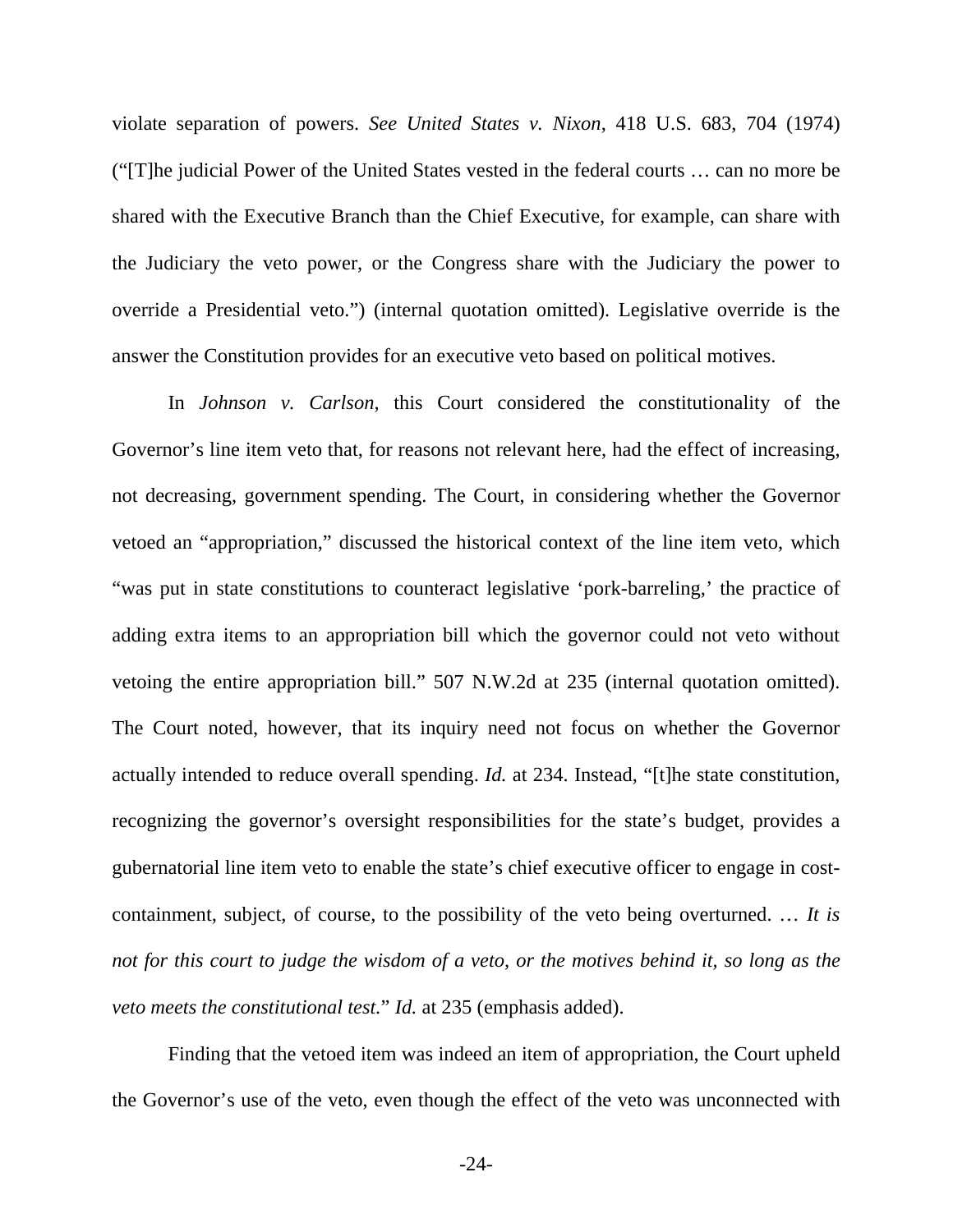violate separation of powers. *See United States v. Nixon*, 418 U.S. 683, 704 (1974) ("[T]he judicial Power of the United States vested in the federal courts … can no more be shared with the Executive Branch than the Chief Executive, for example, can share with the Judiciary the veto power, or the Congress share with the Judiciary the power to override a Presidential veto.") (internal quotation omitted). Legislative override is the answer the Constitution provides for an executive veto based on political motives.

In *Johnson v. Carlson*, this Court considered the constitutionality of the Governor's line item veto that, for reasons not relevant here, had the effect of increasing, not decreasing, government spending. The Court, in considering whether the Governor vetoed an "appropriation," discussed the historical context of the line item veto, which "was put in state constitutions to counteract legislative 'pork-barreling,' the practice of adding extra items to an appropriation bill which the governor could not veto without vetoing the entire appropriation bill." 507 N.W.2d at 235 (internal quotation omitted). The Court noted, however, that its inquiry need not focus on whether the Governor actually intended to reduce overall spending. *Id.* at 234. Instead, "[t]he state constitution, recognizing the governor's oversight responsibilities for the state's budget, provides a gubernatorial line item veto to enable the state's chief executive officer to engage in costcontainment, subject, of course, to the possibility of the veto being overturned. … *It is not for this court to judge the wisdom of a veto, or the motives behind it, so long as the veto meets the constitutional test.*" *Id.* at 235 (emphasis added).

Finding that the vetoed item was indeed an item of appropriation, the Court upheld the Governor's use of the veto, even though the effect of the veto was unconnected with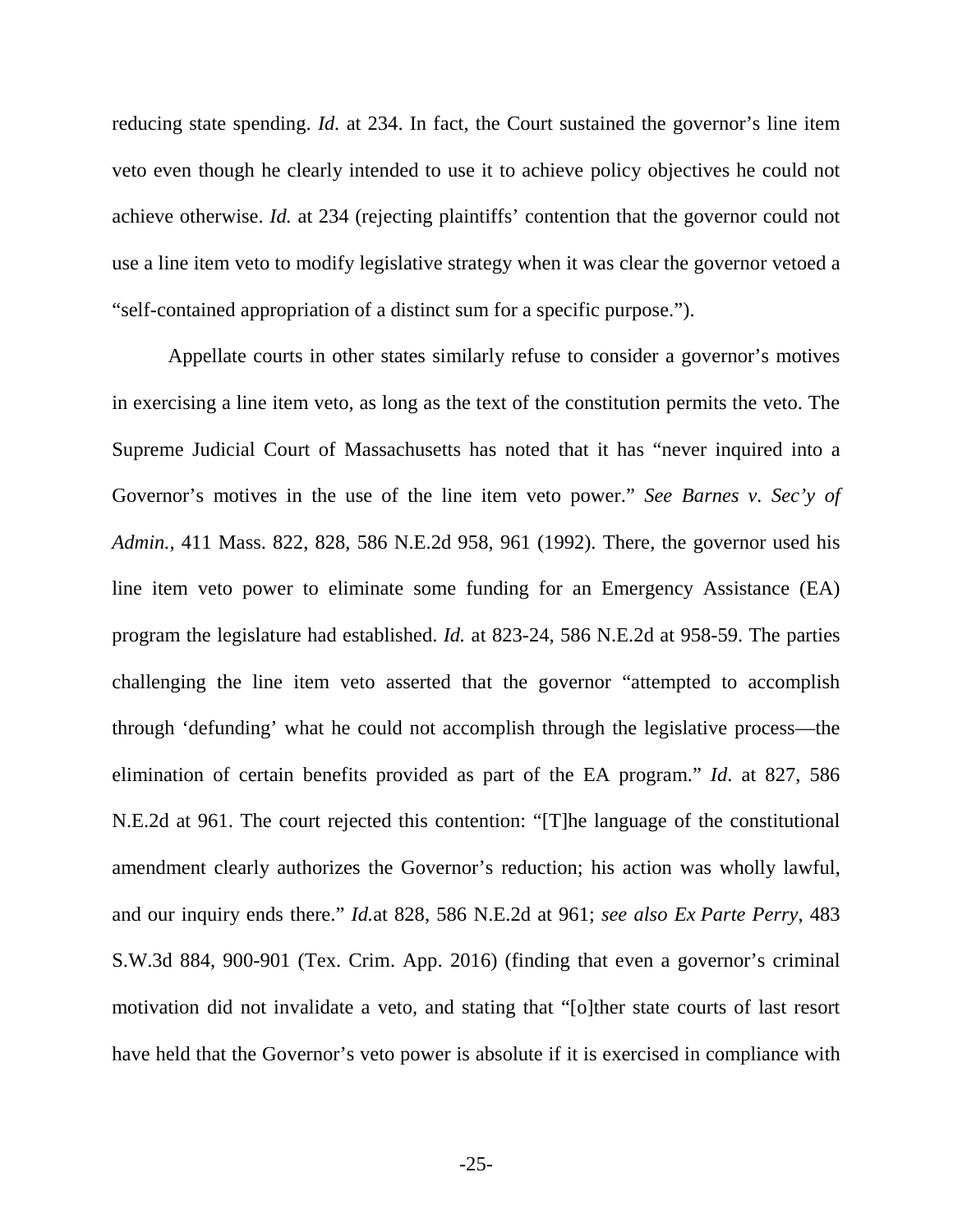reducing state spending. *Id.* at 234. In fact, the Court sustained the governor's line item veto even though he clearly intended to use it to achieve policy objectives he could not achieve otherwise. *Id.* at 234 (rejecting plaintiffs' contention that the governor could not use a line item veto to modify legislative strategy when it was clear the governor vetoed a "self-contained appropriation of a distinct sum for a specific purpose.").

Appellate courts in other states similarly refuse to consider a governor's motives in exercising a line item veto, as long as the text of the constitution permits the veto. The Supreme Judicial Court of Massachusetts has noted that it has "never inquired into a Governor's motives in the use of the line item veto power." *See Barnes v. Sec'y of Admin.*, 411 Mass. 822, 828, 586 N.E.2d 958, 961 (1992). There, the governor used his line item veto power to eliminate some funding for an Emergency Assistance (EA) program the legislature had established. *Id.* at 823-24, 586 N.E.2d at 958-59. The parties challenging the line item veto asserted that the governor "attempted to accomplish through 'defunding' what he could not accomplish through the legislative process—the elimination of certain benefits provided as part of the EA program." *Id*. at 827, 586 N.E.2d at 961. The court rejected this contention: "[T]he language of the constitutional amendment clearly authorizes the Governor's reduction; his action was wholly lawful, and our inquiry ends there." *Id.*at 828, 586 N.E.2d at 961; *see also Ex Parte Perry*, 483 S.W.3d 884, 900-901 (Tex. Crim. App. 2016) (finding that even a governor's criminal motivation did not invalidate a veto, and stating that "[o]ther state courts of last resort have held that the Governor's veto power is absolute if it is exercised in compliance with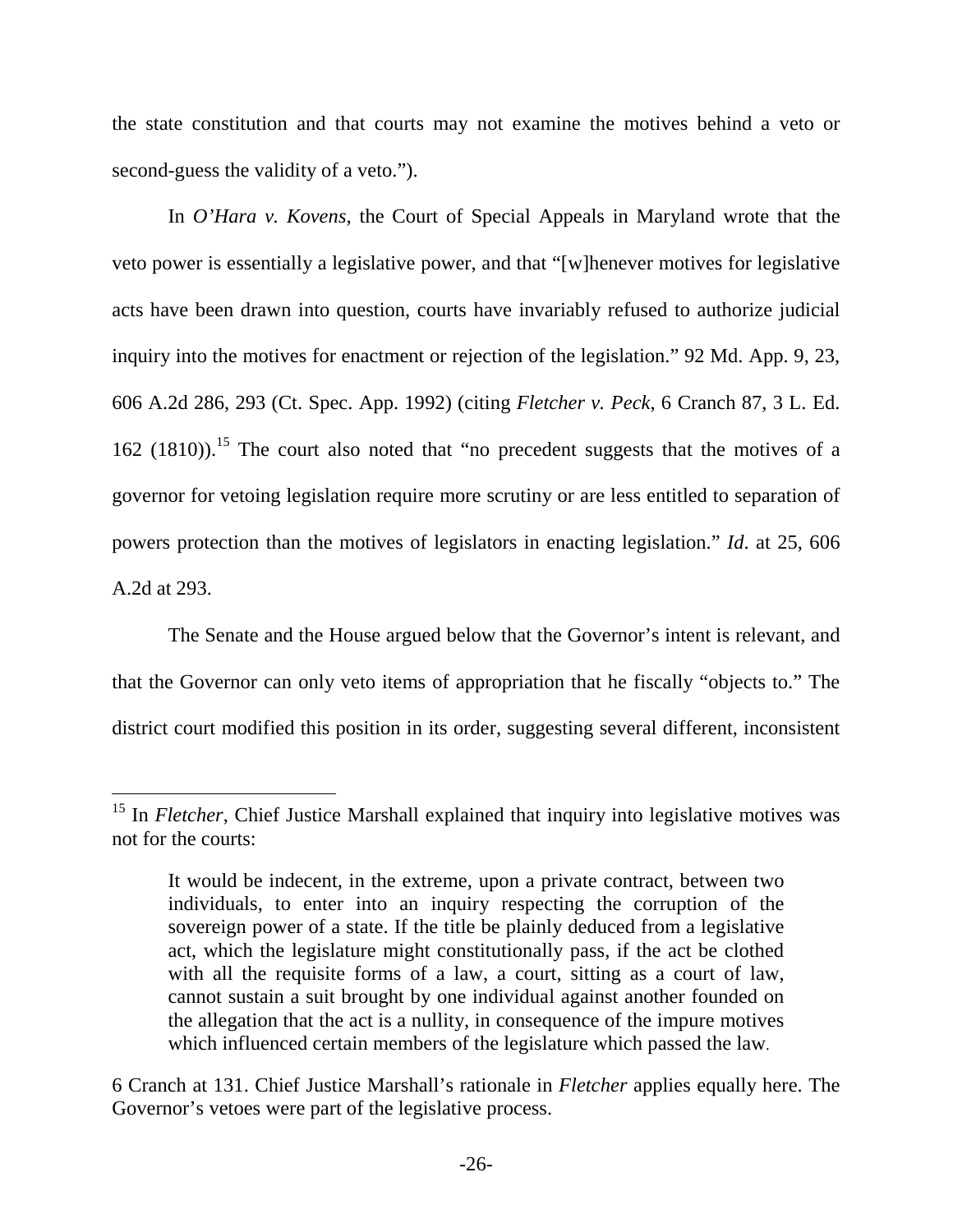the state constitution and that courts may not examine the motives behind a veto or second-guess the validity of a veto.").

In *O'Hara v. Kovens*, the Court of Special Appeals in Maryland wrote that the veto power is essentially a legislative power, and that "[w]henever motives for legislative acts have been drawn into question, courts have invariably refused to authorize judicial inquiry into the motives for enactment or rejection of the legislation." 92 Md. App. 9, 23, 606 A.2d 286, 293 (Ct. Spec. App. 1992) (citing *Fletcher v. Peck*, 6 Cranch 87, 3 L. Ed.  $162$  (1810)).<sup>15</sup> The court also noted that "no precedent suggests that the motives of a governor for vetoing legislation require more scrutiny or are less entitled to separation of powers protection than the motives of legislators in enacting legislation." *Id*. at 25, 606 A.2d at 293.

The Senate and the House argued below that the Governor's intent is relevant, and that the Governor can only veto items of appropriation that he fiscally "objects to." The district court modified this position in its order, suggesting several different, inconsistent

<sup>&</sup>lt;sup>15</sup> In *Fletcher*, Chief Justice Marshall explained that inquiry into legislative motives was not for the courts:

It would be indecent, in the extreme, upon a private contract, between two individuals, to enter into an inquiry respecting the corruption of the sovereign power of a state. If the title be plainly deduced from a legislative act, which the legislature might constitutionally pass, if the act be clothed with all the requisite forms of a law, a court, sitting as a court of law, cannot sustain a suit brought by one individual against another founded on the allegation that the act is a nullity, in consequence of the impure motives which influenced certain members of the legislature which passed the law.

<sup>6</sup> Cranch at 131. Chief Justice Marshall's rationale in *Fletcher* applies equally here. The Governor's vetoes were part of the legislative process.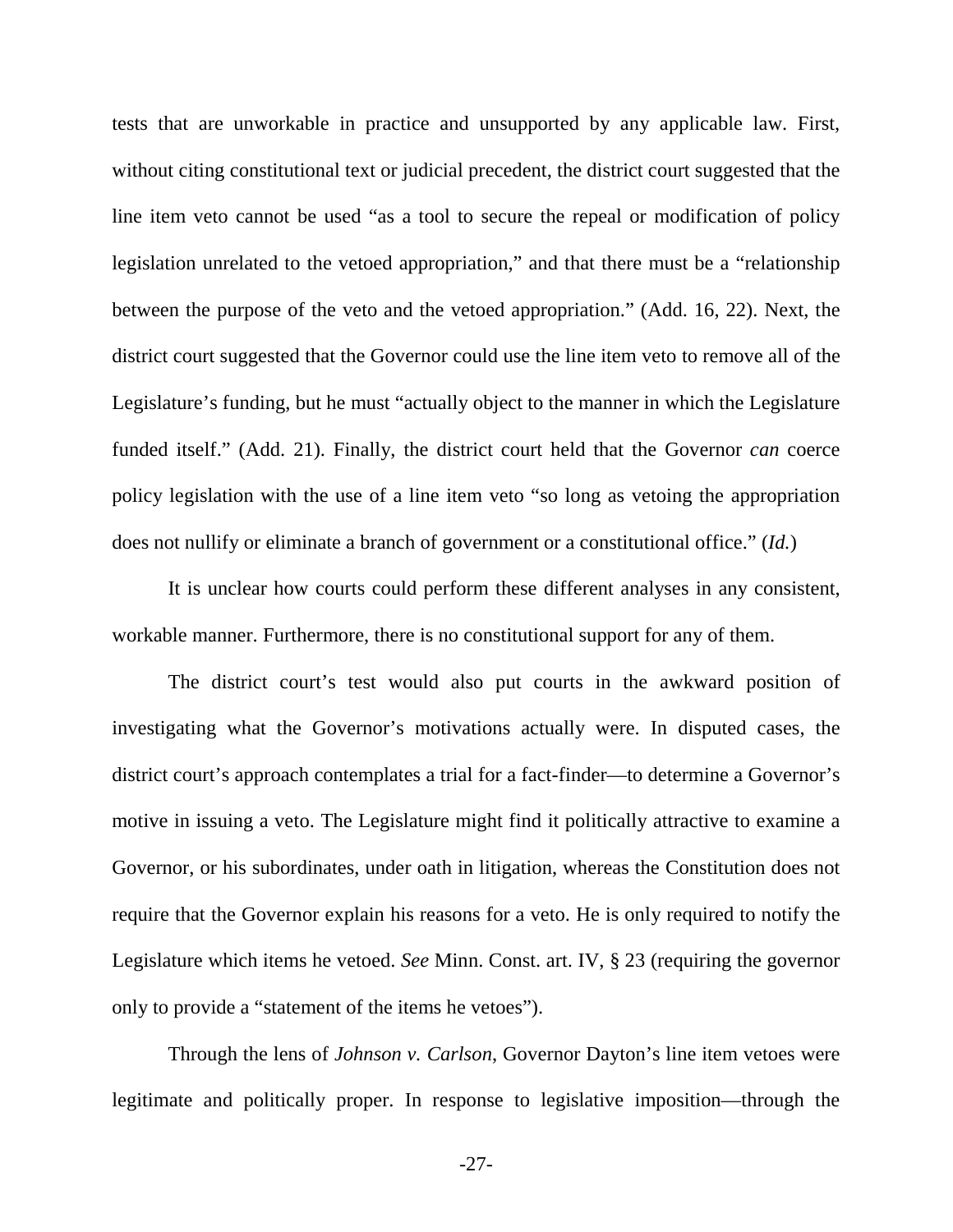tests that are unworkable in practice and unsupported by any applicable law. First, without citing constitutional text or judicial precedent, the district court suggested that the line item veto cannot be used "as a tool to secure the repeal or modification of policy legislation unrelated to the vetoed appropriation," and that there must be a "relationship between the purpose of the veto and the vetoed appropriation." (Add. 16, 22). Next, the district court suggested that the Governor could use the line item veto to remove all of the Legislature's funding, but he must "actually object to the manner in which the Legislature funded itself." (Add. 21). Finally, the district court held that the Governor *can* coerce policy legislation with the use of a line item veto "so long as vetoing the appropriation does not nullify or eliminate a branch of government or a constitutional office." (*Id.*)

It is unclear how courts could perform these different analyses in any consistent, workable manner. Furthermore, there is no constitutional support for any of them.

The district court's test would also put courts in the awkward position of investigating what the Governor's motivations actually were. In disputed cases, the district court's approach contemplates a trial for a fact-finder—to determine a Governor's motive in issuing a veto. The Legislature might find it politically attractive to examine a Governor, or his subordinates, under oath in litigation, whereas the Constitution does not require that the Governor explain his reasons for a veto. He is only required to notify the Legislature which items he vetoed. *See* Minn. Const. art. IV, § 23 (requiring the governor only to provide a "statement of the items he vetoes").

Through the lens of *Johnson v. Carlson*, Governor Dayton's line item vetoes were legitimate and politically proper. In response to legislative imposition—through the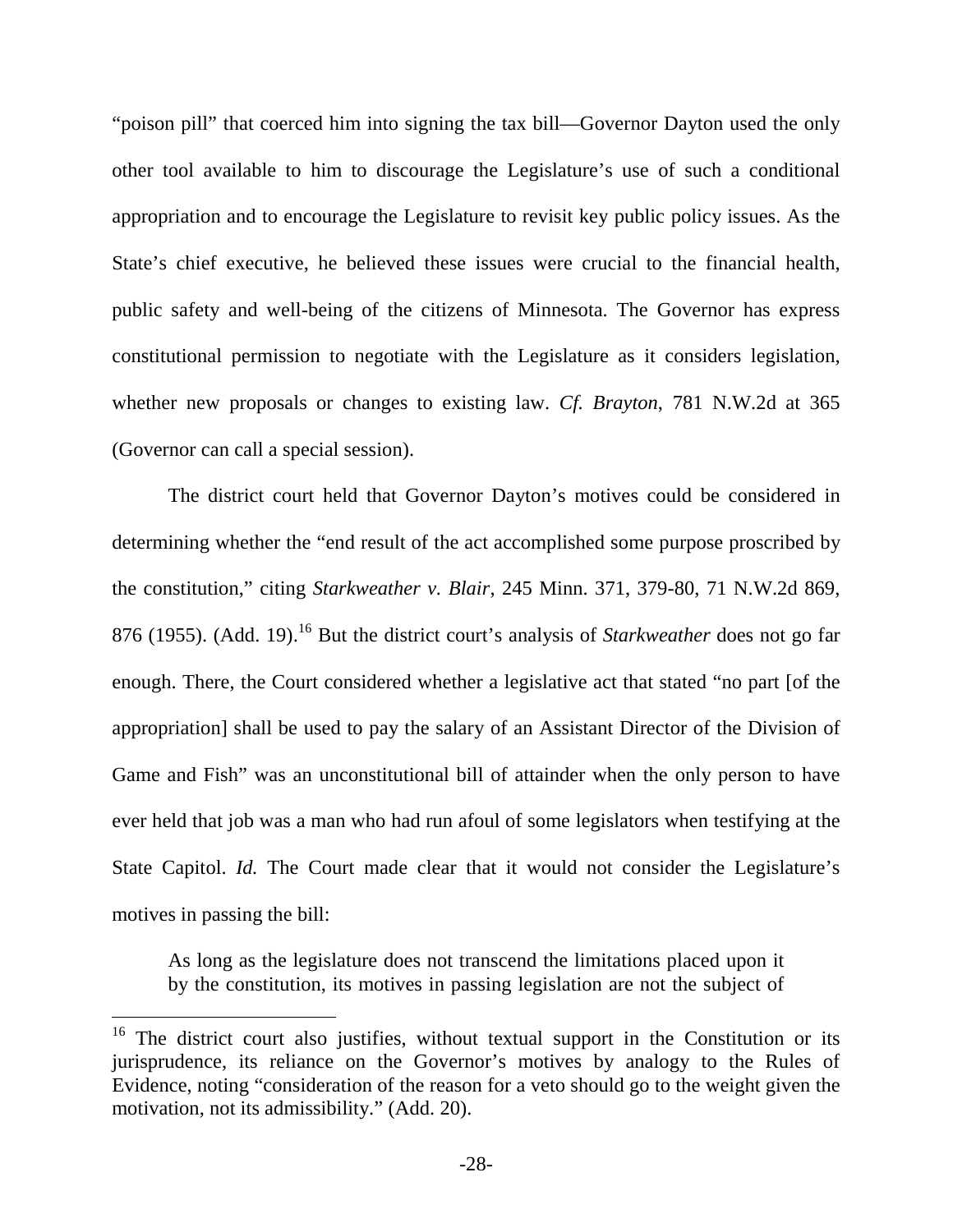"poison pill" that coerced him into signing the tax bill—Governor Dayton used the only other tool available to him to discourage the Legislature's use of such a conditional appropriation and to encourage the Legislature to revisit key public policy issues. As the State's chief executive, he believed these issues were crucial to the financial health, public safety and well-being of the citizens of Minnesota. The Governor has express constitutional permission to negotiate with the Legislature as it considers legislation, whether new proposals or changes to existing law. *Cf. Brayton*, 781 N.W.2d at 365 (Governor can call a special session).

The district court held that Governor Dayton's motives could be considered in determining whether the "end result of the act accomplished some purpose proscribed by the constitution," citing *Starkweather v. Blair*, 245 Minn. 371, 379-80, 71 N.W.2d 869, 876 (1955). (Add. 19).<sup>16</sup> But the district court's analysis of *Starkweather* does not go far enough. There, the Court considered whether a legislative act that stated "no part [of the appropriation] shall be used to pay the salary of an Assistant Director of the Division of Game and Fish" was an unconstitutional bill of attainder when the only person to have ever held that job was a man who had run afoul of some legislators when testifying at the State Capitol. *Id.* The Court made clear that it would not consider the Legislature's motives in passing the bill:

As long as the legislature does not transcend the limitations placed upon it by the constitution, its motives in passing legislation are not the subject of

<sup>&</sup>lt;sup>16</sup> The district court also justifies, without textual support in the Constitution or its jurisprudence, its reliance on the Governor's motives by analogy to the Rules of Evidence, noting "consideration of the reason for a veto should go to the weight given the motivation, not its admissibility." (Add. 20).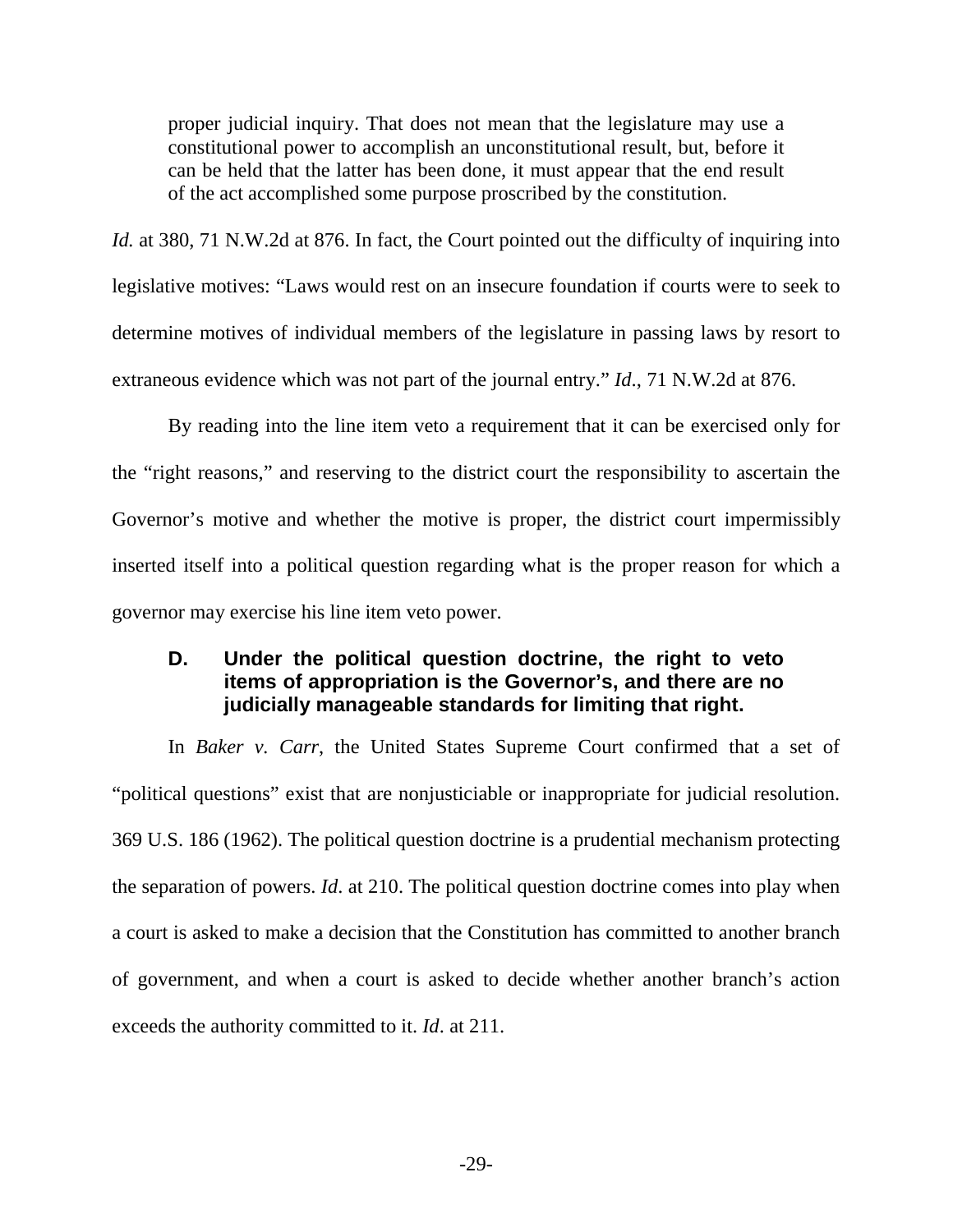proper judicial inquiry. That does not mean that the legislature may use a constitutional power to accomplish an unconstitutional result, but, before it can be held that the latter has been done, it must appear that the end result of the act accomplished some purpose proscribed by the constitution.

*Id.* at 380, 71 N.W.2d at 876. In fact, the Court pointed out the difficulty of inquiring into legislative motives: "Laws would rest on an insecure foundation if courts were to seek to determine motives of individual members of the legislature in passing laws by resort to extraneous evidence which was not part of the journal entry." *Id*., 71 N.W.2d at 876.

By reading into the line item veto a requirement that it can be exercised only for the "right reasons," and reserving to the district court the responsibility to ascertain the Governor's motive and whether the motive is proper, the district court impermissibly inserted itself into a political question regarding what is the proper reason for which a governor may exercise his line item veto power.

## **D. Under the political question doctrine, the right to veto items of appropriation is the Governor's, and there are no judicially manageable standards for limiting that right.**

In *Baker v. Carr*, the United States Supreme Court confirmed that a set of "political questions" exist that are nonjusticiable or inappropriate for judicial resolution. 369 U.S. 186 (1962). The political question doctrine is a prudential mechanism protecting the separation of powers. *Id*. at 210. The political question doctrine comes into play when a court is asked to make a decision that the Constitution has committed to another branch of government, and when a court is asked to decide whether another branch's action exceeds the authority committed to it. *Id*. at 211.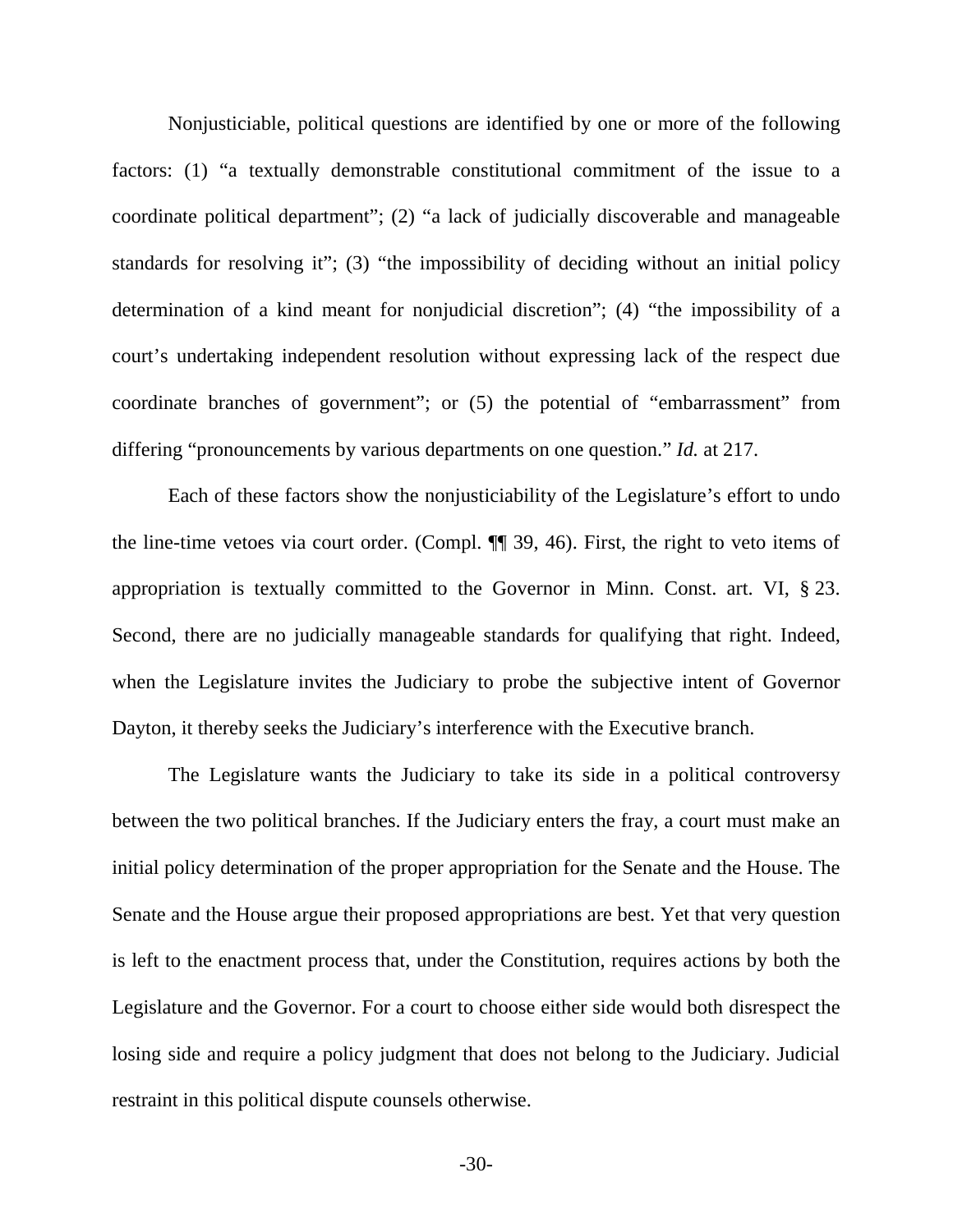Nonjusticiable, political questions are identified by one or more of the following factors: (1) "a textually demonstrable constitutional commitment of the issue to a coordinate political department"; (2) "a lack of judicially discoverable and manageable standards for resolving it"; (3) "the impossibility of deciding without an initial policy determination of a kind meant for nonjudicial discretion"; (4) "the impossibility of a court's undertaking independent resolution without expressing lack of the respect due coordinate branches of government"; or (5) the potential of "embarrassment" from differing "pronouncements by various departments on one question." *Id.* at 217.

Each of these factors show the nonjusticiability of the Legislature's effort to undo the line-time vetoes via court order. (Compl. ¶¶ 39, 46). First, the right to veto items of appropriation is textually committed to the Governor in Minn. Const. art. VI, § 23. Second, there are no judicially manageable standards for qualifying that right. Indeed, when the Legislature invites the Judiciary to probe the subjective intent of Governor Dayton, it thereby seeks the Judiciary's interference with the Executive branch.

The Legislature wants the Judiciary to take its side in a political controversy between the two political branches. If the Judiciary enters the fray, a court must make an initial policy determination of the proper appropriation for the Senate and the House. The Senate and the House argue their proposed appropriations are best. Yet that very question is left to the enactment process that, under the Constitution, requires actions by both the Legislature and the Governor. For a court to choose either side would both disrespect the losing side and require a policy judgment that does not belong to the Judiciary. Judicial restraint in this political dispute counsels otherwise.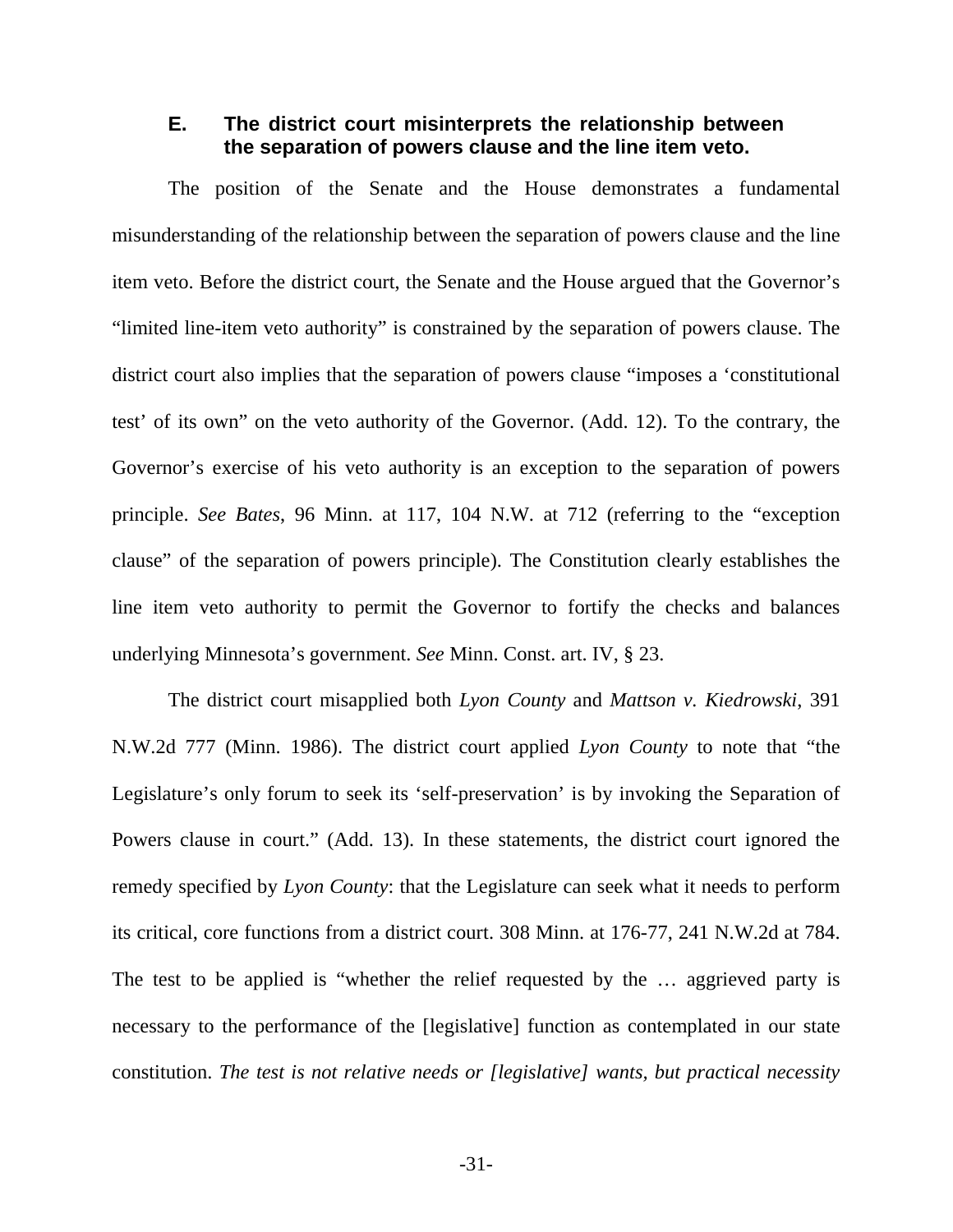### **E. The district court misinterprets the relationship between the separation of powers clause and the line item veto.**

The position of the Senate and the House demonstrates a fundamental misunderstanding of the relationship between the separation of powers clause and the line item veto. Before the district court, the Senate and the House argued that the Governor's "limited line-item veto authority" is constrained by the separation of powers clause. The district court also implies that the separation of powers clause "imposes a 'constitutional test' of its own" on the veto authority of the Governor. (Add. 12). To the contrary, the Governor's exercise of his veto authority is an exception to the separation of powers principle. *See Bates*, 96 Minn. at 117, 104 N.W. at 712 (referring to the "exception clause" of the separation of powers principle). The Constitution clearly establishes the line item veto authority to permit the Governor to fortify the checks and balances underlying Minnesota's government. *See* Minn. Const. art. IV, § 23.

The district court misapplied both *Lyon County* and *Mattson v. Kiedrowski*, 391 N.W.2d 777 (Minn. 1986). The district court applied *Lyon County* to note that "the Legislature's only forum to seek its 'self-preservation' is by invoking the Separation of Powers clause in court." (Add. 13). In these statements, the district court ignored the remedy specified by *Lyon County*: that the Legislature can seek what it needs to perform its critical, core functions from a district court. 308 Minn. at 176-77, 241 N.W.2d at 784. The test to be applied is "whether the relief requested by the … aggrieved party is necessary to the performance of the [legislative] function as contemplated in our state constitution. *The test is not relative needs or [legislative] wants, but practical necessity* 

-31-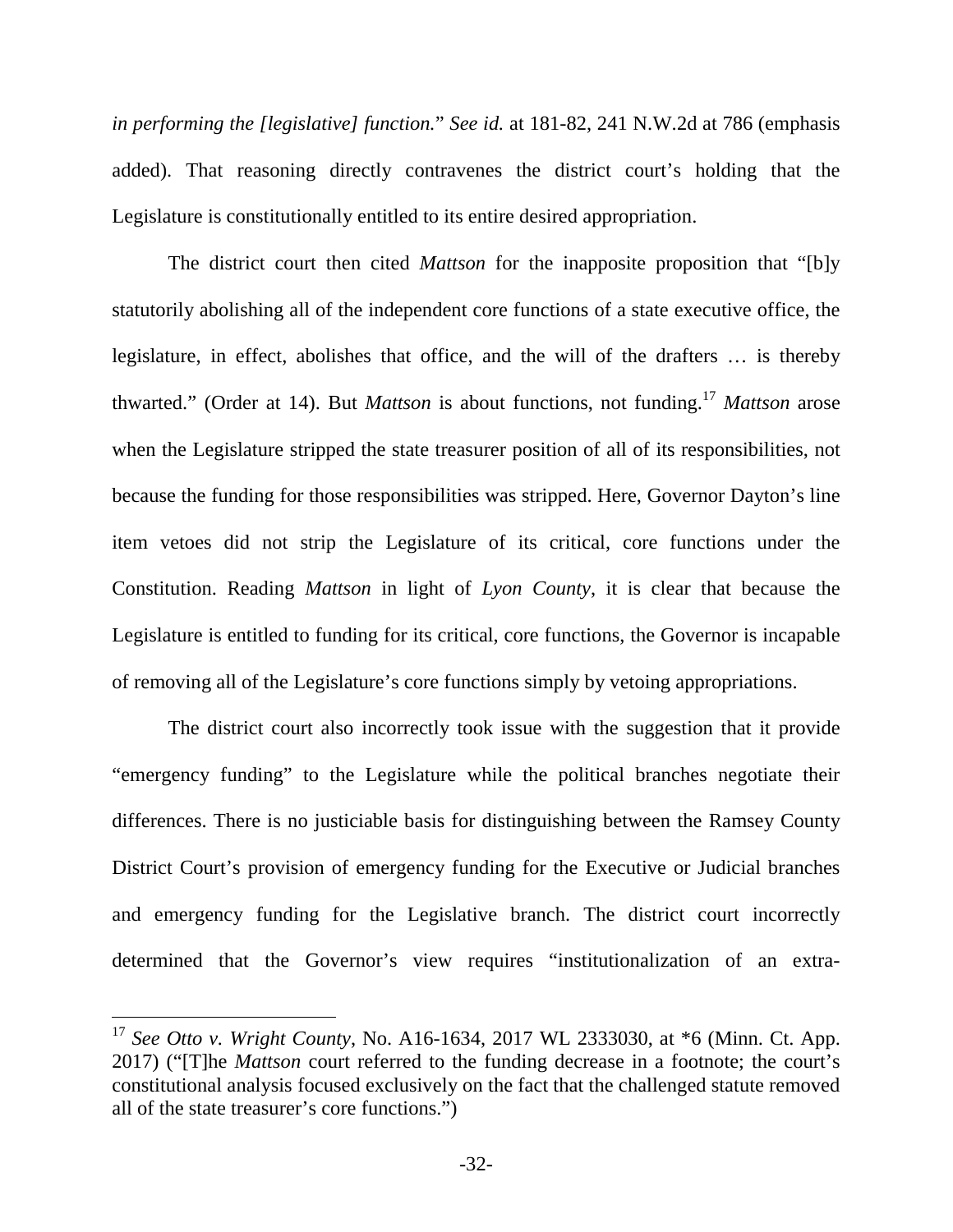*in performing the [legislative] function.*" *See id.* at 181-82, 241 N.W.2d at 786 (emphasis added). That reasoning directly contravenes the district court's holding that the Legislature is constitutionally entitled to its entire desired appropriation.

The district court then cited *Mattson* for the inapposite proposition that "[b]y statutorily abolishing all of the independent core functions of a state executive office, the legislature, in effect, abolishes that office, and the will of the drafters … is thereby thwarted." (Order at 14). But *Mattson* is about functions, not funding.<sup>17</sup> *Mattson* arose when the Legislature stripped the state treasurer position of all of its responsibilities, not because the funding for those responsibilities was stripped. Here, Governor Dayton's line item vetoes did not strip the Legislature of its critical, core functions under the Constitution. Reading *Mattson* in light of *Lyon County*, it is clear that because the Legislature is entitled to funding for its critical, core functions, the Governor is incapable of removing all of the Legislature's core functions simply by vetoing appropriations.

The district court also incorrectly took issue with the suggestion that it provide "emergency funding" to the Legislature while the political branches negotiate their differences. There is no justiciable basis for distinguishing between the Ramsey County District Court's provision of emergency funding for the Executive or Judicial branches and emergency funding for the Legislative branch. The district court incorrectly determined that the Governor's view requires "institutionalization of an extra-

<sup>17</sup> *See Otto v. Wright County*, No. A16-1634, 2017 WL 2333030, at \*6 (Minn. Ct. App. 2017) ("[T]he *Mattson* court referred to the funding decrease in a footnote; the court's constitutional analysis focused exclusively on the fact that the challenged statute removed all of the state treasurer's core functions.")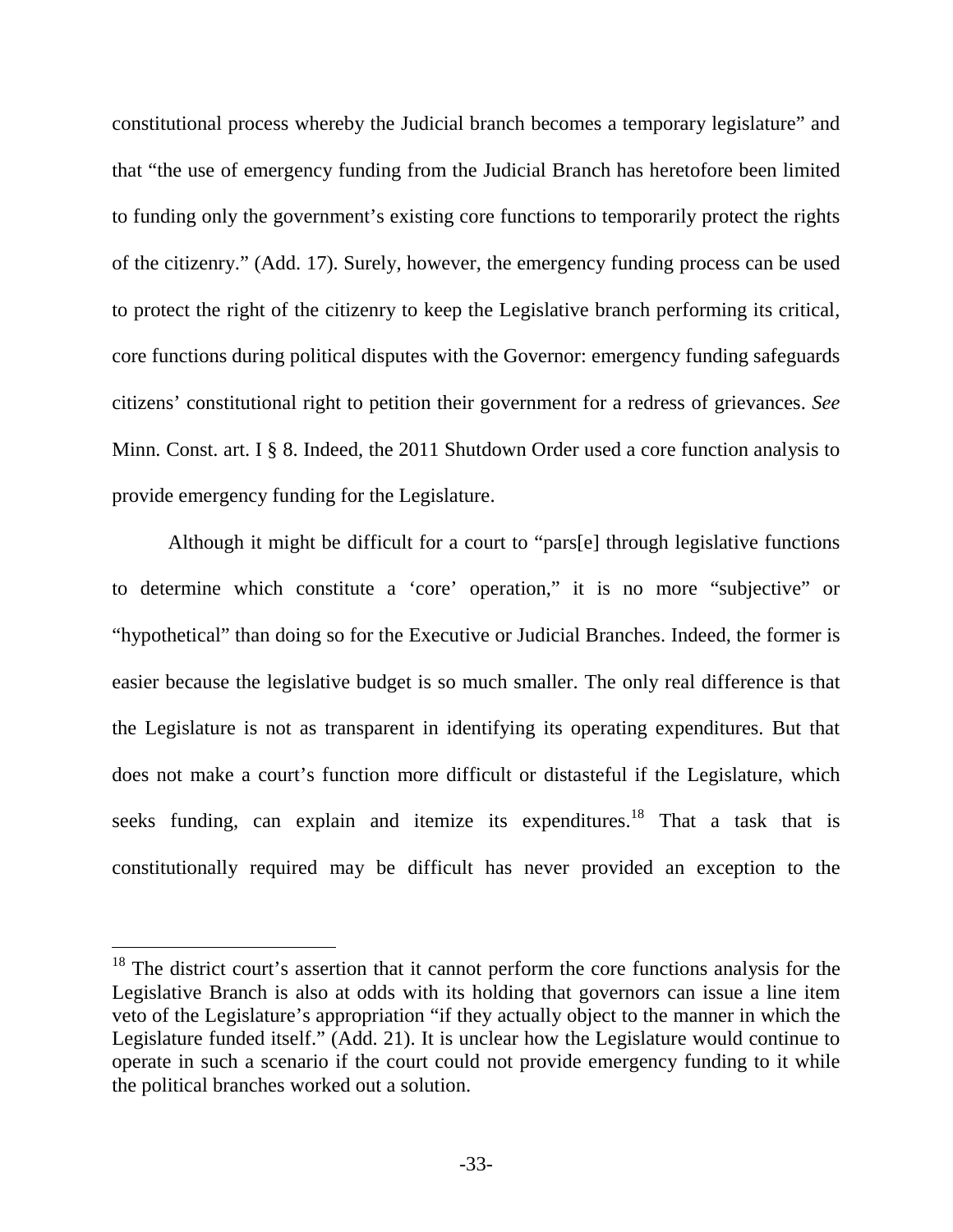constitutional process whereby the Judicial branch becomes a temporary legislature" and that "the use of emergency funding from the Judicial Branch has heretofore been limited to funding only the government's existing core functions to temporarily protect the rights of the citizenry." (Add. 17). Surely, however, the emergency funding process can be used to protect the right of the citizenry to keep the Legislative branch performing its critical, core functions during political disputes with the Governor: emergency funding safeguards citizens' constitutional right to petition their government for a redress of grievances. *See*  Minn. Const. art. I § 8. Indeed, the 2011 Shutdown Order used a core function analysis to provide emergency funding for the Legislature.

Although it might be difficult for a court to "pars[e] through legislative functions to determine which constitute a 'core' operation," it is no more "subjective" or "hypothetical" than doing so for the Executive or Judicial Branches. Indeed, the former is easier because the legislative budget is so much smaller. The only real difference is that the Legislature is not as transparent in identifying its operating expenditures. But that does not make a court's function more difficult or distasteful if the Legislature, which seeks funding, can explain and itemize its expenditures.<sup>18</sup> That a task that is constitutionally required may be difficult has never provided an exception to the

<sup>&</sup>lt;sup>18</sup> The district court's assertion that it cannot perform the core functions analysis for the Legislative Branch is also at odds with its holding that governors can issue a line item veto of the Legislature's appropriation "if they actually object to the manner in which the Legislature funded itself." (Add. 21). It is unclear how the Legislature would continue to operate in such a scenario if the court could not provide emergency funding to it while the political branches worked out a solution.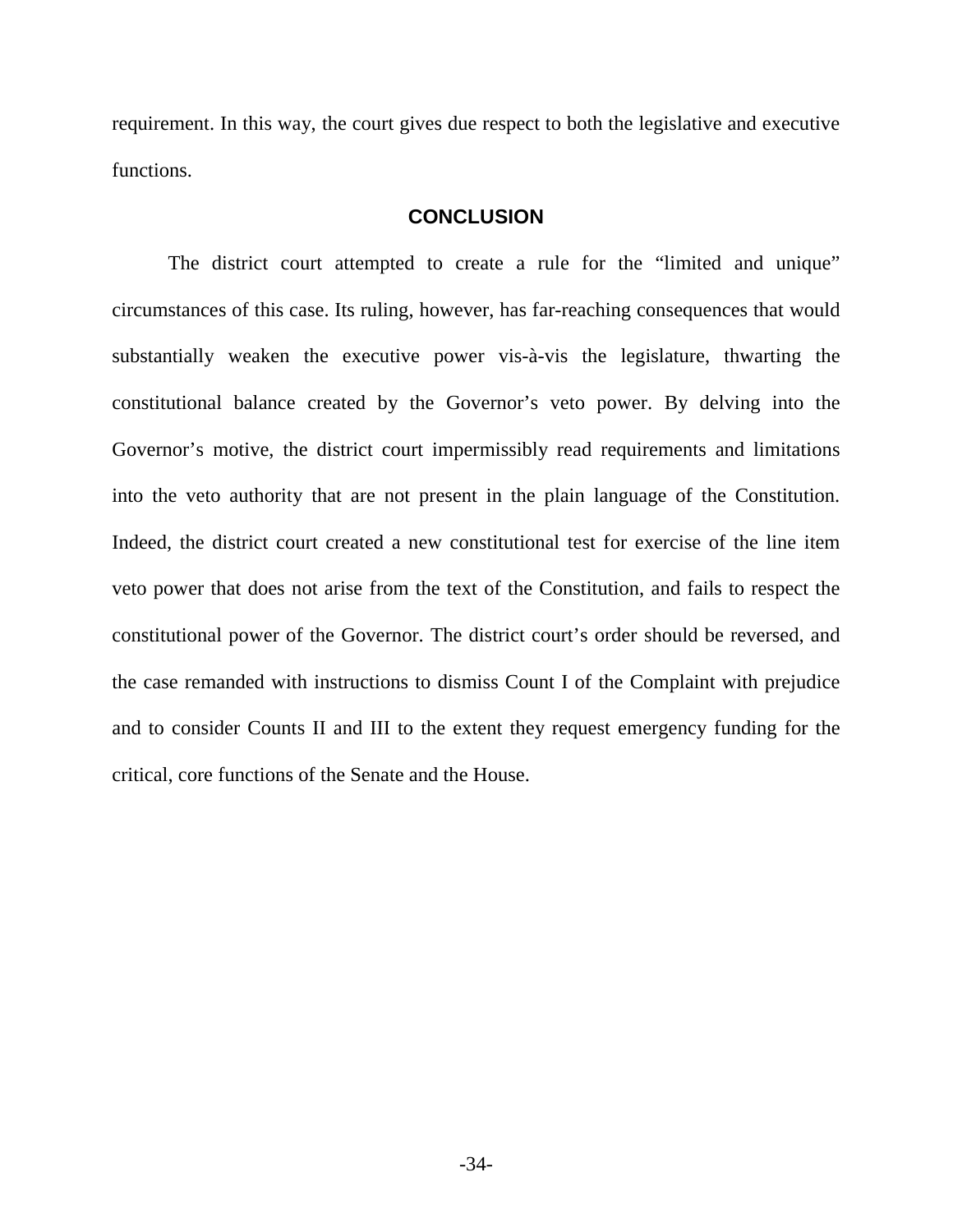requirement. In this way, the court gives due respect to both the legislative and executive functions.

#### **CONCLUSION**

The district court attempted to create a rule for the "limited and unique" circumstances of this case. Its ruling, however, has far-reaching consequences that would substantially weaken the executive power vis-à-vis the legislature, thwarting the constitutional balance created by the Governor's veto power. By delving into the Governor's motive, the district court impermissibly read requirements and limitations into the veto authority that are not present in the plain language of the Constitution. Indeed, the district court created a new constitutional test for exercise of the line item veto power that does not arise from the text of the Constitution, and fails to respect the constitutional power of the Governor. The district court's order should be reversed, and the case remanded with instructions to dismiss Count I of the Complaint with prejudice and to consider Counts II and III to the extent they request emergency funding for the critical, core functions of the Senate and the House.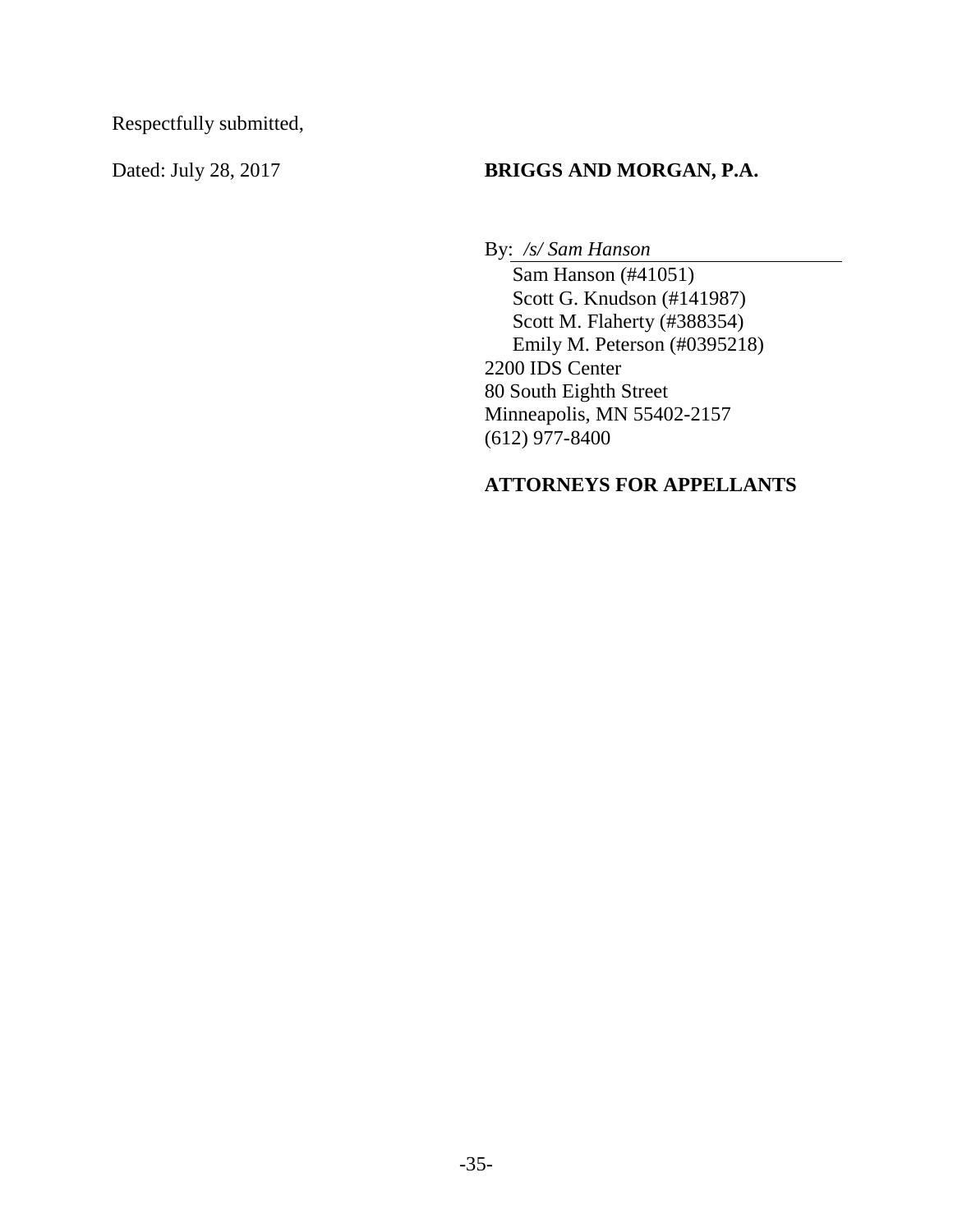Respectfully submitted,

## Dated: July 28, 2017 **BRIGGS AND MORGAN, P.A.**

By: */s/ Sam Hanson* 

Sam Hanson (#41051) Scott G. Knudson (#141987) Scott M. Flaherty (#388354) Emily M. Peterson (#0395218) 2200 IDS Center 80 South Eighth Street Minneapolis, MN 55402-2157 (612) 977-8400

## **ATTORNEYS FOR APPELLANTS**